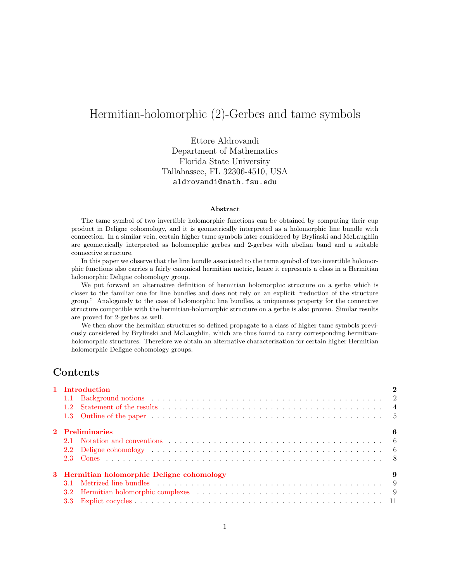# Hermitian-holomorphic (2)-Gerbes and tame symbols

Ettore Aldrovandi Department of Mathematics Florida State University Tallahassee, FL 32306-4510, USA aldrovandi@math.fsu.edu

#### Abstract

The tame symbol of two invertible holomorphic functions can be obtained by computing their cup product in Deligne cohomology, and it is geometrically interpreted as a holomorphic line bundle with connection. In a similar vein, certain higher tame symbols later considered by Brylinski and McLaughlin are geometrically interpreted as holomorphic gerbes and 2-gerbes with abelian band and a suitable connective structure.

In this paper we observe that the line bundle associated to the tame symbol of two invertible holomorphic functions also carries a fairly canonical hermitian metric, hence it represents a class in a Hermitian holomorphic Deligne cohomology group.

We put forward an alternative definition of hermitian holomorphic structure on a gerbe which is closer to the familiar one for line bundles and does not rely on an explicit "reduction of the structure group." Analogously to the case of holomorphic line bundles, a uniqueness property for the connective structure compatible with the hermitian-holomorphic structure on a gerbe is also proven. Similar results are proved for 2-gerbes as well.

We then show the hermitian structures so defined propagate to a class of higher tame symbols previously considered by Brylinski and McLaughlin, which are thus found to carry corresponding hermitianholomorphic structures. Therefore we obtain an alternative characterization for certain higher Hermitian holomorphic Deligne cohomology groups.

# Contents

| 1 Introduction                                   |                                                                                                  |  |  |  |
|--------------------------------------------------|--------------------------------------------------------------------------------------------------|--|--|--|
|                                                  |                                                                                                  |  |  |  |
|                                                  |                                                                                                  |  |  |  |
|                                                  |                                                                                                  |  |  |  |
| 2 Preliminaries<br>6                             |                                                                                                  |  |  |  |
|                                                  |                                                                                                  |  |  |  |
|                                                  |                                                                                                  |  |  |  |
|                                                  |                                                                                                  |  |  |  |
| 3 Hermitian holomorphic Deligne cohomology<br>-9 |                                                                                                  |  |  |  |
|                                                  |                                                                                                  |  |  |  |
| 3.2 <sub>2</sub>                                 | Hermitian holomorphic complexes (a) and a series and a series of the series of the series of $9$ |  |  |  |
|                                                  |                                                                                                  |  |  |  |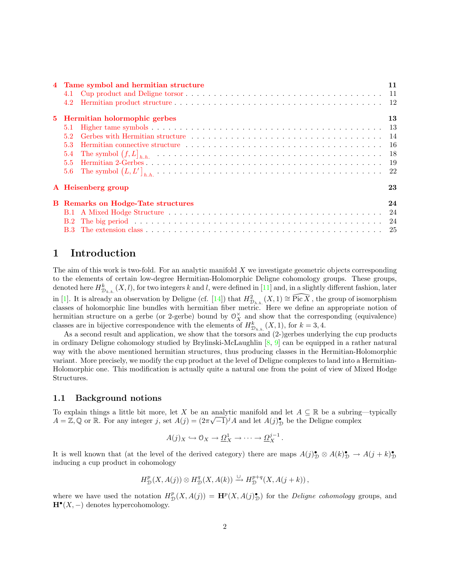|                    | 4 Tame symbol and hermitian structure     |                                                           |  |  |
|--------------------|-------------------------------------------|-----------------------------------------------------------|--|--|
|                    |                                           |                                                           |  |  |
|                    |                                           |                                                           |  |  |
|                    | 5 Hermitian holormophic gerbes            |                                                           |  |  |
|                    | 5.1                                       |                                                           |  |  |
|                    | 5.2                                       |                                                           |  |  |
|                    | 5.3                                       |                                                           |  |  |
|                    | 5.4                                       | The symbol $(f, L]_{h,h}$ and $(1, L)_{h,h}$ are $(1, L)$ |  |  |
|                    |                                           |                                                           |  |  |
|                    |                                           |                                                           |  |  |
| A Heisenberg group |                                           | 23                                                        |  |  |
|                    | <b>B</b> Remarks on Hodge-Tate structures |                                                           |  |  |
|                    |                                           |                                                           |  |  |
|                    |                                           |                                                           |  |  |
|                    |                                           |                                                           |  |  |

# <span id="page-1-0"></span>1 Introduction

The aim of this work is two-fold. For an analytic manifold  $X$  we investigate geometric objects corresponding to the elements of certain low-degree Hermitian-Holomorphic Deligne cohomology groups. These groups, denoted here  $H_{\mathcal{D}_{h,h}}^k(X,l)$ , for two integers k and l, were defined in [\[11](#page-26-0)] and, in a slightly different fashion, later in[[1\]](#page-25-0). It is already an observation by Deligne (cf. [[14\]](#page-26-1)) that  $H_{\mathcal{D}_{h,h}}^2(X,1) \cong \widehat{\text{Pic }X}$ , the group of isomorphism classes of holomorphic line bundles with hermitian fiber metric. Here we define an appropriate notion of hermitian structure on a gerbe (or 2-gerbe) bound by  $\mathcal{O}_X^{\times}$  and show that the corresponding (equivalence) classes are in bijective correspondence with the elements of  $H_{\mathcal{D}_{h,h}}^k(X,1)$ , for  $k=3,4$ .

As a second result and application, we show that the torsors and (2-)gerbes underlying the cup products in ordinary Deligne cohomology studied by Brylinski-McLaughlin[[8,](#page-26-2) [9\]](#page-26-3) can be equipped in a rather natural way with the above mentioned hermitian structures, thus producing classes in the Hermitian-Holomorphic variant. More precisely, we modify the cup product at the level of Deligne complexes to land into a Hermitian-Holomorphic one. This modification is actually quite a natural one from the point of view of Mixed Hodge Structures.

## <span id="page-1-1"></span>1.1 Background notions

To explain things a little bit more, let X be an analytic manifold and let  $A \subseteq \mathbb{R}$  be a subring—typically  $A = \mathbb{Z}, \mathbb{Q}$  or  $\mathbb{R}$ . For any integer j, set  $A(j) = (2\pi\sqrt{-1})^j A$  and let  $A(j)_\mathbb{D}^{\bullet}$  be the Deligne complex

$$
A(j)_X \hookrightarrow \mathcal{O}_X \to \underline{\Omega}^1_X \to \cdots \to \underline{\Omega}^{j-1}_X.
$$

It is well known that (at the level of the derived category) there are maps  $A(j)_\mathcal{D}^{\bullet} \otimes A(k)_\mathcal{D}^{\bullet} \to A(j+k)_\mathcal{D}^{\bullet}$  $\mathcal{D}$ inducing a cup product in cohomology

$$
H^p_{\mathcal{D}}(X, A(j)) \otimes H^q_{\mathcal{D}}(X, A(k)) \xrightarrow{\cup} H^{p+q}_{\mathcal{D}}(X, A(j+k)),
$$

where we have used the notation  $H^p_{\mathcal{D}}(X, A(j)) = \mathbf{H}^p(X, A(j)_{\mathcal{D}}^{\bullet})$  for the *Deligne cohomology* groups, and  $\mathbf{H}^{\bullet}(X, -)$  denotes hypercohomology.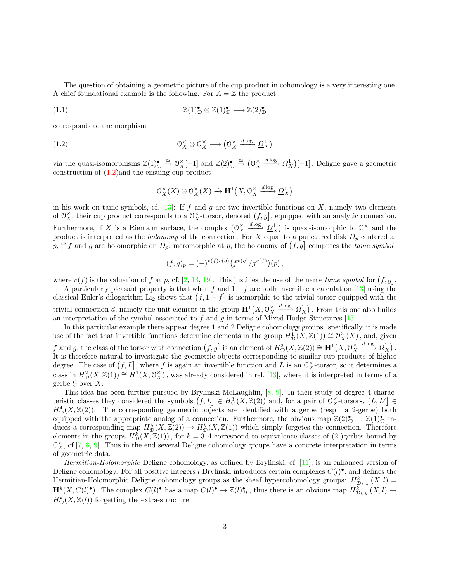The question of obtaining a geometric picture of the cup product in cohomology is a very interesting one. A chief foundational example is the following. For  $A = \mathbb{Z}$  the product

(1.1) 
$$
\mathbb{Z}(1)_{\mathcal{D}}^{\bullet} \otimes \mathbb{Z}(1)_{\mathcal{D}}^{\bullet} \longrightarrow \mathbb{Z}(2)_{\mathcal{D}}^{\bullet}
$$

corresponds to the morphism

(1.2) 
$$
\mathcal{O}_X^{\times} \otimes \mathcal{O}_X^{\times} \longrightarrow (\mathcal{O}_X^{\times} \xrightarrow{d \log} \underline{\Omega}_X^1)
$$

via the quasi-isomorphisms  $\mathbb{Z}(1)_{\mathcal{D}}^{\bullet} \stackrel{\simeq}{\to} O_X^{\times}[-1]$  and  $\mathbb{Z}(2)_{\mathcal{D}}^{\bullet} \stackrel{\simeq}{\to} (O_X^{\times})$ X  $\frac{d \log \Delta}{d X}$ [-1]. Deligne gave a geometric construction of [\(1.2\)](#page-2-0)and the ensuing cup product

<span id="page-2-1"></span><span id="page-2-0"></span>
$$
\mathcal{O}_X^{\times}(X) \otimes \mathcal{O}_X^{\times}(X) \xrightarrow{\cup} \mathbf{H}^1(X, \mathcal{O}_X^{\times} \xrightarrow{d \log} \underline{\Omega}_X^1)
$$

in his work on tame symbols, cf. [\[13](#page-26-4)]: If f and q are two invertible functions on X, namely two elements of  $\mathcal{O}_X^{\times}$ , their cup product corresponds to a  $\mathcal{O}_X^{\times}$ -torsor, denoted  $(f,g]$ , equipped with an analytic connection. Furthermore, if X is a Riemann surface, the complex  $(\mathcal{O}_X^{\times})$ X  $\frac{d \log \Delta}{d} \Omega_X^1$  is quasi-isomorphic to  $\mathbb{C}^\times$  and the product is interpreted as the *holonomy* of the connection. For X equal to a punctured disk  $D_p$  centered at p, if f and g are holomorphic on  $D_p$ , meromorphic at p, the holonomy of  $(f, g]$  computes the tame symbol

$$
(f,g)_p = (-)^{v(f)v(g)} (f^{v(g)}/g^{v(f)})(p),
$$

where $v(f)$  is the valuation of f at p, cf. [[2,](#page-25-1) [13,](#page-26-4) [19](#page-26-5)]. This justifies the use of the name tame symbol for  $(f, g]$ .

Aparticularly pleasant property is that when f and  $1 - f$  are both invertible a calculation [[13\]](#page-26-4) using the classical Euler's dilogarithm Li<sub>2</sub> shows that  $(f, 1 - f)$  is isomorphic to the trivial torsor equipped with the trivial connection d, namely the unit element in the group  $\mathbf{H}^1(X, \mathbb{O}_X^{\times})$ X  $\frac{d \log \Delta}{d X}$ . From this one also builds aninterpretation of the symbol associated to f and g in terms of Mixed Hodge Structures  $[13]$  $[13]$ .

In this particular example there appear degree 1 and 2 Deligne cohomology groups: specifically, it is made use of the fact that invertible functions determine elements in the group  $H_D^1(X, \mathbb{Z}(1)) \cong \mathcal{O}_X^*(X)$ , and, given f and g, the class of the torsor with connection  $(f, g]$  is an element of  $H^2_{\mathcal{D}}(X, \mathbb{Z}(2)) \cong H^1(X, \mathbb{O}_X^{\times})$ X  $\xrightarrow{d \log} \underline{\Omega}_X^1$ . It is therefore natural to investigate the geometric objects corresponding to similar cup products of higher degree. The case of  $(f, L]$ , where f is again an invertible function and L is an  $\mathcal{O}_X^{\times}$ -torsor, so it determines a classin  $H_D^2(X, \mathbb{Z}(1)) \cong H^1(X, \mathbb{O}_X^{\times})$ , was already considered in ref. [[13](#page-26-4)], where it is interpreted in terms of a gerbe  $\mathcal G$  over  $X$ .

This idea has been further pursued by Brylinski-McLaughlin,[[8,](#page-26-2) [9](#page-26-3)]. In their study of degree 4 characteristic classes they considered the symbols  $(f, L] \in H^3_{\mathcal{D}}(X, \mathbb{Z}(2))$  and, for a pair of  $O^{\times}_{X}$ -torsors,  $(L, L'] \in$  $H^4_{\mathcal{D}}(X,\mathbb{Z}(2))$ . The corresponding geometric objects are identified with a gerbe (resp. a 2-gerbe) both equipped with the appropriate analog of a connection. Furthermore, the obvious map  $\mathbb{Z}(2)_{\mathcal{D}}^{\bullet} \to \mathbb{Z}(1)_{\mathcal{D}}^{\bullet}$  induces a corresponding map  $H^k_{\mathcal{D}}(X,\mathbb{Z}(2)) \to H^k_{\mathcal{D}}(X,\mathbb{Z}(1))$  which simply forgetes the connection. Therefore elements in the groups  $H_D^k(X,\mathbb{Z}(1))$ , for  $k=3,4$  correspond to equivalence classes of (2-)gerbes bound by  $\mathcal{O}_X^{\times}$ , cf.[[7,](#page-26-6) [8,](#page-26-2) [9\]](#page-26-3). Thus in the end several Deligne cohomology groups have a concrete interpretation in terms of geometric data.

Hermitian-Holomorphic Deligne cohomology, as defined by Brylinski, cf.[[11](#page-26-0)], is an enhanced version of Deligne cohomology. For all positive integers l Brylinski introduces certain complexes  $C(l)$ <sup>o</sup>, and defines the Hermitian-Holomorphic Deligne cohomology groups as the sheaf hypercohomology groups:  $H_{\mathcal{D}_{h,h}}^k(X, l) =$  $\mathbf{H}^k(X, C(l)^{\bullet})$ . The complex  $C(l)^{\bullet}$  has a map  $C(l)^{\bullet} \to \mathbb{Z}(l)^{\bullet}_{\mathcal{D}}$ , thus there is an obvious map  $H_{\mathcal{D}_{h,h}}^{\overline{k}}(X, l) \to$  $H^k_{\mathcal{D}}(X,\mathbb{Z}(l))$  forgetting the extra-structure.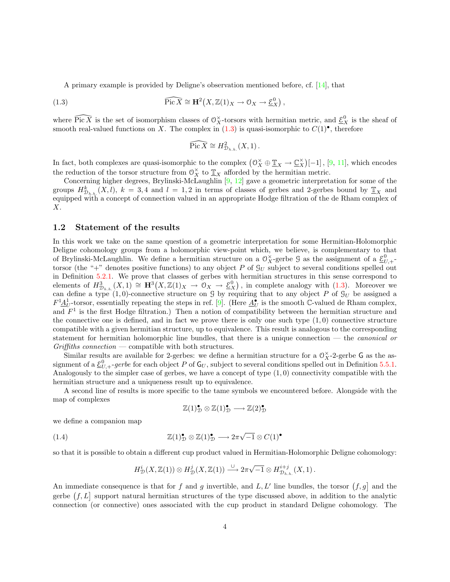A primary example is provided by Deligne's observation mentioned before, cf. [\[14](#page-26-1)], that

(1.3) 
$$
\widehat{\text{Pic }X} \cong \mathbf{H}^2(X,\mathbb{Z}(1)_X \to \mathcal{O}_X \to \underline{\mathcal{E}}_X^0),
$$

where  $\widehat{\text{Pic }X}$  is the set of isomorphism classes of  $\mathcal{O}_X^{\times}$ -torsors with hermitian metric, and  $\underline{\mathcal{E}}_X^0$  is the sheaf of smoothreal-valued functions on X. The complex in  $(1.3)$  $(1.3)$  is quasi-isomorphic to  $C(1)$ <sup>•</sup>, therefore

<span id="page-3-1"></span>
$$
\widehat{\text{Pic }X} \cong H^2_{\mathcal{D}_{h.h.}}(X,1).
$$

In fact, both complexes are quasi-isomorphic to the complex  $(0_X^{\times} \oplus \underline{\mathbb{T}}_X \to \underline{\mathbb{C}}_X^{\times})$  $\chi^{\times}$ [-1], [\[9](#page-26-3), [11](#page-26-0)], which encodes the reduction of the torsor structure from  $\mathcal{O}_X^{\times}$  to  $\underline{\mathbb{T}}_X$  afforded by the hermitian metric.

Concerning higher degrees, Brylinski-McLaughlin [\[9](#page-26-3), [12](#page-26-7)] gave a geometric interpretation for some of the groups  $H_{\mathcal{D}_{h,h}}^k(X, l)$ ,  $k = 3, 4$  and  $l = 1, 2$  in terms of classes of gerbes and 2-gerbes bound by  $\underline{\mathbb{T}}_X$  and equipped with a concept of connection valued in an appropriate Hodge filtration of the de Rham complex of X.

#### <span id="page-3-0"></span>1.2 Statement of the results

In this work we take on the same question of a geometric interpretation for some Hermitian-Holomorphic Deligne cohomology groups from a holomorphic view-point which, we believe, is complementary to that of Brylinski-McLaughlin. We define a hermitian structure on a  $\mathcal{O}_X^{\times}$ -gerbe  $\mathcal G$  as the assignment of a  $\underline{\mathcal{E}}_{U,+}^0$ torsor (the "+" denotes positive functions) to any object P of  $\mathcal{G}_U$  subject to several conditions spelled out in Definition [5.2.1.](#page-21-1) We prove that classes of gerbes with hermitian structures in this sense correspond to elementsof  $H_{\mathcal{D}_{h,h}}^3(X,1) \cong \mathbf{H}^3(X,\mathbb{Z}(1)_X \to 0_X \to \underline{\mathcal{E}}_X^0)$ , in complete analogy with ([1.3](#page-3-1)). Moreover we can define a type  $(1,0)$ -connective structure on G by requiring that to any object P of  $\mathcal{G}_U$  be assigned a  $F^1 \underline{A}_{U}^1$ -torsor, essentially repeating the steps in ref. [\[9](#page-26-3)]. (Here  $\underline{A}_{U}^{\bullet}$  is the smooth  $\mathbb{C}$ -valued de Rham complex, and  $F<sup>1</sup>$  is the first Hodge filtration.) Then a notion of compatibility between the hermitian structure and the connective one is defined, and in fact we prove there is only one such type  $(1,0)$  connective structure compatible with a given hermitian structure, up to equivalence. This result is analogous to the corresponding statement for hermitian holomorphic line bundles, that there is a unique connection — the canonical or  $Griffiths connection$  — compatible with both structures.

Similar results are available for 2-gerbes: we define a hermitian structure for a  $0_X^{\times}$ -2-gerbe G as the assignment of a  $\underline{\mathcal{E}}_{U,+}^0$ -gerbe for each object P of  $\mathsf{G}_U$ , subject to several conditions spelled out in Definition [5.5.1](#page-21-1). Analogously to the simpler case of gerbes, we have a concept of type  $(1,0)$  connectivity compatible with the hermitian structure and a uniqueness result up to equivalence.

A second line of results is more specific to the tame symbols we encountered before. Alongside with the map of complexes

<span id="page-3-2"></span>
$$
\mathbb{Z}(1)_{\mathcal{D}}^{\bullet} \otimes \mathbb{Z}(1)_{\mathcal{D}}^{\bullet} \longrightarrow \mathbb{Z}(2)_{\mathcal{D}}^{\bullet}
$$

we define a companion map

(1.4) 
$$
\mathbb{Z}(1)_{\mathcal{D}}^{\bullet} \otimes \mathbb{Z}(1)_{\mathcal{D}}^{\bullet} \longrightarrow 2\pi\sqrt{-1} \otimes C(1)^{\bullet}
$$

so that it is possible to obtain a different cup product valued in Hermitian-Holomorphic Deligne cohomology:

$$
H^i_{\mathcal{D}}(X,{{\mathbb Z}}(1))\otimes H^j_{\mathcal{D}}(X,{{\mathbb Z}}(1))\stackrel{\cup}{\longrightarrow} 2\pi\sqrt{-1}\otimes H^{i+j}_{{\mathcal{D}}_{h.h.}}(X,1)\,.
$$

An immediate consequence is that for f and g invertible, and  $L, L'$  line bundles, the torsor  $(f, g]$  and the gerbe  $(f, L]$  support natural hermitian structures of the type discussed above, in addition to the analytic connection (or connective) ones associated with the cup product in standard Deligne cohomology. The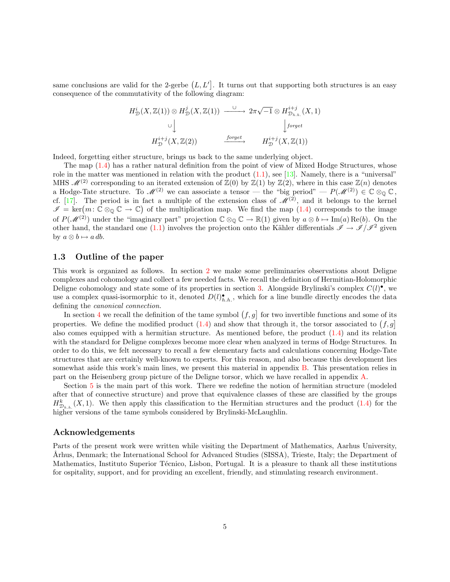same conclusions are valid for the 2-gerbe  $(L, L']$ . It turns out that supporting both structures is an easy consequence of the commutativity of the following diagram:

$$
H_{\mathcal{D}}^{i}(X,\mathbb{Z}(1)) \otimes H_{\mathcal{D}}^{j}(X,\mathbb{Z}(1)) \xrightarrow{\cup} 2\pi\sqrt{-1} \otimes H_{\mathcal{D}_{h.h.}}^{i+j}(X,1)
$$
  
\n
$$
\cup \downarrow \qquad \qquad \downarrow
$$
  
\n
$$
H_{\mathcal{D}}^{i+j}(X,\mathbb{Z}(2)) \xrightarrow{\text{forget}} H_{\mathcal{D}}^{i+j}(X,\mathbb{Z}(1))
$$

Indeed, forgetting either structure, brings us back to the same underlying object.

The map [\(1.4](#page-3-2)) has a rather natural definition from the point of view of Mixed Hodge Structures, whose rolein the matter was mentioned in relation with the product  $(1.1)$ , see [[13\]](#page-26-4). Namely, there is a "universal" MHS  $\mathcal{M}^{(2)}$  corresponding to an iterated extension of  $\mathbb{Z}(0)$  by  $\mathbb{Z}(1)$  by  $\mathbb{Z}(2)$ , where in this case  $\mathbb{Z}(n)$  denotes a Hodge-Tate structure. To  $\mathcal{M}^{(2)}$  we can associate a tensor — the "big period" —  $P(\mathcal{M}^{(2)}) \in \mathbb{C} \otimes_{\mathbb{Q}} \mathbb{C}$ cf.[[17\]](#page-26-8). The period is in fact a multiple of the extension class of  $\mathscr{M}^{(2)}$ , and it belongs to the kernel  $\mathscr{I} = \text{ker}(m: \mathbb{C} \otimes_{\mathbb{Q}} \mathbb{C} \to \mathbb{C})$  of the multiplication map. We find the map  $(1.4)$  corresponds to the image of  $P(\mathscr{M}^{(2)})$  under the "imaginary part" projection  $\mathbb{C} \otimes_{\mathbb{Q}} \mathbb{C} \to \mathbb{R}(1)$  given by  $a \otimes b \mapsto \text{Im}(a) \text{Re}(b)$ . On the otherhand, the standard one ([1.1\)](#page-2-1) involves the projection onto the Kähler differentials  $\mathscr{I} \to \mathscr{I}/\mathscr{I}^2$  given by  $a \otimes b \mapsto a \, db$ .

## <span id="page-4-0"></span>1.3 Outline of the paper

This work is organized as follows. In section [2](#page-5-0) we make some preliminaries observations about Deligne complexes and cohomology and collect a few needed facts. We recall the definition of Hermitian-Holomorphic Deligne cohomology and state some of its properties in section [3.](#page-8-0) Alongside Brylinski's complex  $C(l)$ , we use a complex quasi-isormorphic to it, denoted  $D(l)_{h.h.}^{\bullet}$ , which for a line bundle directly encodes the data defining the canonical connection.

In section [4](#page-10-1) we recall the definition of the tame symbol  $(f, g)$  for two invertible functions and some of its properties.We define the modified product  $(1.4)$  $(1.4)$  and show that through it, the torsor associated to  $(f, g]$ also comes equipped with a hermitian structure. As mentioned before, the product [\(1.4](#page-3-2)) and its relation with the standard for Deligne complexes become more clear when analyzed in terms of Hodge Structures. In order to do this, we felt necessary to recall a few elementary facts and calculations concerning Hodge-Tate structures that are certainly well-known to experts. For this reason, and also because this development lies somewhat aside this work's main lines, we present this material in appendix [B.](#page-23-0) This presentation relies in part on the Heisenberg group picture of the Deligne torsor, which we have recalled in appendix [A](#page-22-0).

Section [5](#page-12-0) is the main part of this work. There we redefine the notion of hermitian structure (modeled after that of connective structure) and prove that equivalence classes of these are classified by the groups  $H_{\mathcal{D}_{h,h}}^k(X,1)$ .We then apply this classification to the Hermitian structures and the product ([1.4](#page-3-2)) for the higher versions of the tame symbols considered by Brylinski-McLaughlin.

#### Acknowledgements

Parts of the present work were written while visiting the Department of Mathematics, Aarhus University, Arhus, Denmark; the International School for Advanced Studies (SISSA), Trieste, Italy; the Department of Mathematics, Instituto Superior Técnico, Lisbon, Portugal. It is a pleasure to thank all these institutions for ospitality, support, and for providing an excellent, friendly, and stimulating research environment.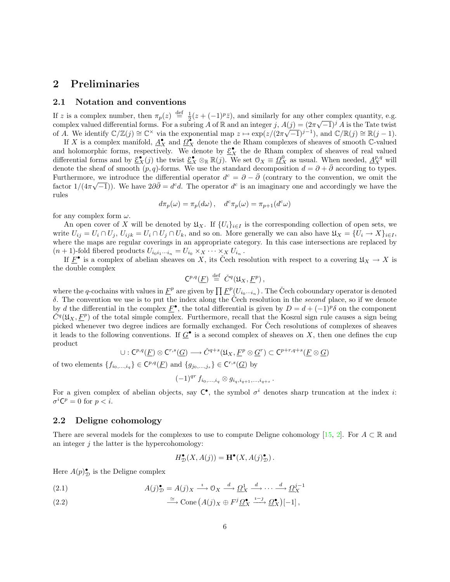# <span id="page-5-0"></span>2 Preliminaries

## <span id="page-5-1"></span>2.1 Notation and conventions

If z is a complex number, then  $\pi_p(z) \stackrel{\text{def}}{=} \frac{1}{2}(z + (-1)^p \overline{z})$ , and similarly for any other complex quantity, e.g. complex valued differential forms. For a subring A of R and an integer j,  $A(j) = (2\pi\sqrt{-1})^j A$  is the Tate twist of A. We identify  $\mathbb{C}/\mathbb{Z}(j) \cong \mathbb{C}^\times$  via the exponential map  $z \mapsto \exp(z/(2\pi\sqrt{-1})^{j-1})$ , and  $\mathbb{C}/\mathbb{R}(j) \cong \mathbb{R}(j-1)$ .

If X is a complex manifold,  $\underline{A}_{X}^{\bullet}$  and  $\underline{\Omega}_{X}^{\bullet}$  denote the de Rham complexes of sheaves of smooth C-valued and holomorphic forms, respectively. We denote by  $\underline{\mathcal{E}}_X^{\bullet}$  the de Rham complex of sheaves of real valued differential forms and by  $\underline{\mathcal{E}}_X^{\bullet}(j)$  the twist  $\underline{\mathcal{E}}_X^{\bullet} \otimes_{\mathbb{R}} \mathbb{R}(j)$ . We set  $\mathcal{O}_X \equiv \underline{\Omega}_X^0$  as usual. When needed,  $\underline{A}_X^{p,q}$  will denote the sheaf of smooth  $(p, q)$ -forms. We use the standard decomposition  $d = \partial + \overline{\partial}$  according to types. Furthermore, we introduce the differential operator  $d^c = \partial - \bar{\partial}$  (contrary to the convention, we omit the factor  $1/(4\pi\sqrt{-1})$ ). We have  $2\partial\bar{\partial} = d^c d$ . The operator  $d^c$  is an imaginary one and accordingly we have the rules

$$
d\pi_p(\omega) = \pi_p(d\omega) , \quad d^c \pi_p(\omega) = \pi_{p+1}(d^c \omega)
$$

for any complex form  $\omega$ .

An open cover of X will be denoted by  $\mathfrak{U}_X$ . If  $\{U_i\}_{i\in I}$  is the corresponding collection of open sets, we write  $U_{ij} = U_i \cap U_j$ ,  $U_{ijk} = U_i \cap U_j \cap U_k$ , and so on. More generally we can also have  $\mathfrak{U}_X = \{U_i \to X\}_{i \in I}$ , where the maps are regular coverings in an appropriate category. In this case intersections are replaced by  $(n+1)$ -fold fibered products  $U_{i_0i_1\cdots i_n} = U_{i_0} \times_X \cdots \times_X U_{i_n}$ .

If  $\overline{F}^{\bullet}$  is a complex of abelian sheaves on X, its Cech resolution with respect to a covering  $\mathfrak{U}_X \to X$  is the double complex

$$
\mathsf{C}^{p,q}(\underline{F}) \stackrel{\text{def}}{=} \check{C}^q(\mathfrak{U}_X, \underline{F}^p),
$$

where the q-cochains with values in  $\underline{F}^p$  are given by  $\prod \underline{F}^p(U_{i_0\cdots i_n})$ . The Čech coboundary operator is denoted δ. The convention we use is to put the index along the Čech resolution in the *second* place, so if we denote by d the differential in the complex  $\underline{F}^{\bullet}$ , the total differential is given by  $D = d + (-1)^p \delta$  on the component  $\check{C}^q(\mathfrak{U}_X, \underline{F}^p)$  of the total simple complex. Furthermore, recall that the Koszul sign rule causes a sign being picked whenever two degree indices are formally exchanged. For Cech resolutions of complexes of sheaves it leads to the following conventions. If  $\underline{G}^{\bullet}$  is a second complex of sheaves on X, then one defines the cup product

$$
\cup: \mathsf{C}^{p,q}(\underline{F}) \otimes \mathsf{C}^{r,s}(\underline{G}) \longrightarrow \check{C}^{q+s}(\mathfrak{U}_X, \underline{F}^p \otimes \underline{G}^r) \subset \mathsf{C}^{p+r,q+s}(\underline{F} \otimes \underline{G})
$$

of two elements  $\{f_{i_0,\ldots,i_q}\}\in \mathbb{C}^{p,q}(\underline{F})$  and  $\{g_{j_0,\ldots,j_s}\}\in \mathbb{C}^{r,s}(\underline{G})$  by

$$
(-1)^{qr} f_{i_0,\dots,i_q} \otimes g_{i_q,i_{q+1},\dots,i_{q+s}}.
$$

For a given complex of abelian objects, say  $C^{\bullet}$ , the symbol  $\sigma^{i}$  denotes sharp truncation at the index *i*:  $\sigma^i \mathsf{C}^p = 0$  for  $p < i$ .

### <span id="page-5-2"></span>2.2 Deligne cohomology

Thereare several models for the complexes to use to compute Deligne cohomology [[15,](#page-26-9) [2\]](#page-25-1). For  $A \subset \mathbb{R}$  and an integer  $j$  the latter is the hypercohomology:

$$
H^{\bullet}_{\mathcal{D}}(X, A(j)) = \mathbf{H}^{\bullet}(X, A(j)^{\bullet}_{\mathcal{D}}).
$$

Here  $A(p)_{\mathcal{D}}^{\bullet}$  is the Deligne complex

<span id="page-5-4"></span>(2.1) 
$$
A(j)_{\mathcal{D}}^{\bullet} = A(j)_{X} \xrightarrow{i} \mathcal{O}_{X} \xrightarrow{d} \underline{\Omega}_{X}^{1} \xrightarrow{d} \cdots \xrightarrow{d} \underline{\Omega}_{X}^{j-1}
$$

<span id="page-5-3"></span>(2.2) 
$$
\xrightarrow{\simeq} \text{Cone} \left( A(j)_X \oplus F^j \underline{\Omega}_X^{\bullet} \xrightarrow{i-j} \underline{\Omega}_X^{\bullet} \right)[-1],
$$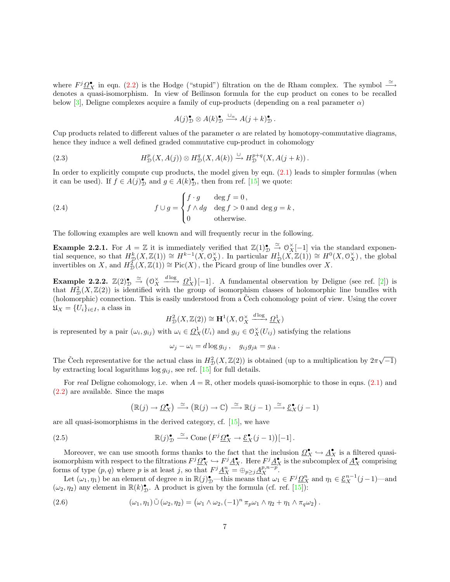where  $F^j \mathcal{Q}_X^{\bullet}$  in eqn. [\(2.2\)](#page-5-3) is the Hodge ("stupid") filtration on the de Rham complex. The symbol  $\stackrel{\simeq}{\longrightarrow}$ denotes a quasi-isomorphism. In view of Beĭlinson formula for the cup product on cones to be recalled below[[3\]](#page-26-10), Deligne complexes acquire a family of cup-products (depending on a real parameter  $\alpha$ )

<span id="page-6-1"></span>
$$
A(j)_{\mathcal{D}}^{\bullet} \otimes A(k)_{\mathcal{D}}^{\bullet} \xrightarrow{\cup_{\alpha}} A(j+k)_{\mathcal{D}}^{\bullet}.
$$

Cup products related to different values of the parameter  $\alpha$  are related by homotopy-commutative diagrams, hence they induce a well defined graded commutative cup-product in cohomology

(2.3) 
$$
H^p_{\mathcal{D}}(X, A(j)) \otimes H^q_{\mathcal{D}}(X, A(k)) \xrightarrow{\cup} H^{p+q}_{\mathcal{D}}(X, A(j+k)).
$$

Inorder to explicitly compute cup products, the model given by eqn.  $(2.1)$  $(2.1)$  leads to simpler formulas (when it can be used). If  $f \in A(j)_D^{\bullet}$  and  $g \in A(k)_D^{\bullet}$ , then from ref. [\[15](#page-26-9)] we quote:

(2.4) 
$$
f \cup g = \begin{cases} f \cdot g & \text{deg } f = 0, \\ f \wedge dg & \text{deg } f > 0 \text{ and } \deg g = k, \\ 0 & \text{otherwise.} \end{cases}
$$

The following examples are well known and will frequently recur in the following.

**Example 2.2.1.** For  $A = \mathbb{Z}$  it is immediately verified that  $\mathbb{Z}(1)_D^{\bullet} \stackrel{\simeq}{\rightarrow} \mathbb{O}_X^{\times}[-1]$  via the standard exponen-**Example 2.2.1.** For  $A = \mathbb{Z}$  it is immediately verified that  $\mathbb{Z}(1)_D \to \mathbb{Z}(X_1^{-1})$  via the standard exponential sequence, so that  $H_D^k(X, \mathbb{Z}(1)) \cong H^{k-1}(X, \mathbb{O}_X^{\times})$ . In particular  $H_D^1(X, \mathbb{Z}(1)) \cong H^0(X, \mathbb{O}_$ invertibles on X, and  $H_D^2(X, \mathbb{Z}(1)) \cong Pic(X)$ , the Picard group of line bundles over X.

Example 2.2.2.  $\mathbb{Z}(2)_{\mathcal{D}}^{\bullet} \stackrel{\simeq}{\rightarrow} (\mathbb{O}_{X}^{\times})$ X  $\frac{d \log}{d}$   $\Omega_X^1$ [-1]. A fundamental observation by Deligne (see ref. [\[2](#page-25-1)]) is that  $H_D^2(X,\mathbb{Z}(2))$  is identified with the group of isomorphism classes of holomorphic line bundles with (holomorphic) connection. This is easily understood from a Cech cohomology point of view. Using the cover  $\mathfrak{U}_X = \{U_i\}_{i \in I}$ , a class in

$$
H^2_{\mathcal{D}}(X,\mathbb{Z}(2)) \cong \mathbf{H}^1(X,\mathcal{O}_X^{\times} \xrightarrow{d \log} \underline{\Omega}_X^1)
$$

is represented by a pair  $(\omega_i, g_{ij})$  with  $\omega_i \in \Omega^1_X(U_i)$  and  $g_{ij} \in \Omega^{\times}_X(U_{ij})$  satisfying the relations

<span id="page-6-0"></span>
$$
\omega_j - \omega_i = d \log g_{ij}, \quad g_{ij} g_{jk} = g_{ik}.
$$

The Čech representative for the actual class in  $H_D^2(X, \mathbb{Z}(2))$  is obtained (up to a multiplication by  $2\pi\sqrt{-1}$ ) byextracting local logarithms  $\log g_{ij}$ , see ref. [[15\]](#page-26-9) for full details.

For real Deligne cohomology, i.e. when  $A = \mathbb{R}$ , other models quasi-isomorphic to those in eqns. [\(2.1](#page-5-4)) and ([2.2\)](#page-5-3) are available. Since the maps

$$
\left(\mathbb{R}(j) \to \underline{\Omega}_X^{\bullet}\right) \xrightarrow{\simeq} \left(\mathbb{R}(j) \to \mathbb{C}\right) \xrightarrow{\simeq} \mathbb{R}(j-1) \xrightarrow{\simeq} \underline{\mathcal{E}}_X^{\bullet}(j-1)
$$

are all quasi-isomorphisms in the derived category, cf.[[15\]](#page-26-9), we have

(2.5) 
$$
\mathbb{R}(j)_\mathcal{D}^\bullet \xrightarrow{\simeq} \text{Cone}\left(F^j \underline{\Omega}_X^\bullet \to \underline{\mathcal{E}}_X^\bullet (j-1)\right)[-1].
$$

Moreover, we can use smooth forms thanks to the fact that the inclusion  $\Omega_X^{\bullet} \hookrightarrow \underline{A}_X^{\bullet}$  is a filtered quasiisomorphism with respect to the filtrations  $F^j \mathcal{Q}_X^{\bullet} \hookrightarrow F^j \mathcal{A}_X^{\bullet}$ . Here  $F^j \mathcal{A}_X^{\bullet}$  is the subcomplex of  $\mathcal{A}_X^{\bullet}$  comprising forms of type  $(p, q)$  where p is at least j, so that  $F^j \underline{A}_X^n = \bigoplus_{p \geq j} \underline{A}_X^{p, n-p}$ .

Let  $(\omega_1, \eta_1)$  be an element of degree n in  $\mathbb{R}(j)_{\mathcal{D}}^{\bullet}$  this means that  $\omega_1 \in F^j \Omega_X^n$  and  $\eta_1 \in \underline{\mathcal{E}}_X^{n-1}(j-1)$ —and  $(\omega_2, \eta_2)$  any element in  $\mathbb{R}(k)$ , A product is given by the formula (cf. ref. [\[15](#page-26-9)]):

(2.6) 
$$
(\omega_1, \eta_1) \tilde{\cup} (\omega_2, \eta_2) = (\omega_1 \wedge \omega_2, (-1)^n \pi_p \omega_1 \wedge \eta_2 + \eta_1 \wedge \pi_q \omega_2).
$$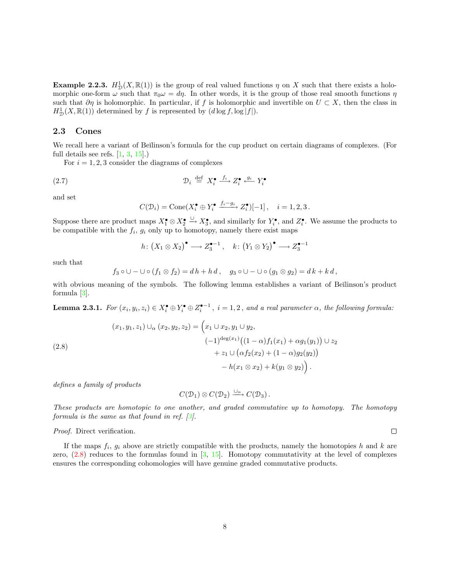**Example 2.2.3.**  $H_D^1(X,\mathbb{R}(1))$  is the group of real valued functions  $\eta$  on X such that there exists a holomorphic one-form  $\omega$  such that  $\pi_0 \omega = d\eta$ . In other words, it is the group of those real smooth functions  $\eta$ such that  $\partial \eta$  is holomorphic. In particular, if f is holomorphic and invertible on  $U \subset X$ , then the class in  $H^1_{\mathcal{D}}(X,\mathbb{R}(1))$  determined by f is represented by  $(d \log f, \log |f|)$ .

# <span id="page-7-0"></span>2.3 Cones

We recall here a variant of Beĭlinson's formula for the cup product on certain diagrams of complexes. (For full details see refs. [\[1](#page-25-0), [3](#page-26-10), [15](#page-26-9)].)

For  $i = 1, 2, 3$  consider the diagrams of complexes

(2.7) 
$$
\mathcal{D}_i \stackrel{\text{def}}{=} X_i^{\bullet} \stackrel{f_i}{\longrightarrow} Z_i^{\bullet} \stackrel{g_i}{\longrightarrow} Y_i^{\bullet}
$$

and set

<span id="page-7-2"></span>
$$
C(\mathcal{D}_i) = \text{Cone}(X_i^{\bullet} \oplus Y_i^{\bullet} \xrightarrow{f_i - g_i} Z_i^{\bullet})[-1], \quad i = 1, 2, 3.
$$

Suppose there are product maps  $X_1^{\bullet} \otimes X_2^{\bullet} \xrightarrow{\cup} X_3^{\bullet}$ , and similarly for  $Y_i^{\bullet}$ , and  $Z_i^{\bullet}$ . We assume the products to be compatible with the  $f_i$ ,  $g_i$  only up to homotopy, namely there exist maps

$$
h\colon (X_1\otimes X_2)^\bullet\longrightarrow Z_3^{\bullet-1}\ ,\quad k\colon (Y_1\otimes Y_2)^\bullet\longrightarrow Z_3^{\bullet-1}
$$

such that

$$
f_3 \circ \cup -\cup \circ (f_1 \otimes f_2) = dh + h\,d\,, \quad g_3 \circ \cup -\cup \circ (g_1 \otimes g_2) = dk + k\,d\,,
$$

with obvious meaning of the symbols. The following lemma establishes a variant of Beĭlinson's product formula [\[3](#page-26-10)].

**Lemma 2.3.1.** For  $(x_i, y_i, z_i) \in X_i^{\bullet} \oplus Y_i^{\bullet} \oplus Z_i^{\bullet-1}$ ,  $i = 1, 2$ , and a real parameter  $\alpha$ , the following formula:

<span id="page-7-1"></span>(2.8)  
\n
$$
(x_1, y_1, z_1) \cup_{\alpha} (x_2, y_2, z_2) = \left(x_1 \cup x_2, y_1 \cup y_2, \right.\n \left.\left.\begin{array}{c}\n (-1)^{\deg(x_1)} \big((1-\alpha) f_1(x_1) + \alpha g_1(y_1)\big) \cup z_2 \\
+ z_1 \cup \left(\alpha f_2(x_2) + (1-\alpha) g_2(y_2)\right) \\
- h(x_1 \otimes x_2) + k(y_1 \otimes y_2)\n \end{array}\right).
$$

defines a family of products

$$
C(\mathcal{D}_1) \otimes C(\mathcal{D}_2) \xrightarrow{\cup_{\alpha}} C(\mathcal{D}_3).
$$

These products are homotopic to one another, and graded commutative up to homotopy. The homotopy formula is the same as that found in ref.[[3\]](#page-26-10).

Proof. Direct verification.

If the maps  $f_i$ ,  $g_i$  above are strictly compatible with the products, namely the homotopies h and k are zero, $(2.8)$  $(2.8)$  reduces to the formulas found in  $[3, 15]$  $[3, 15]$  $[3, 15]$  $[3, 15]$ . Homotopy commutativity at the level of complexes ensures the corresponding cohomologies will have genuine graded commutative products.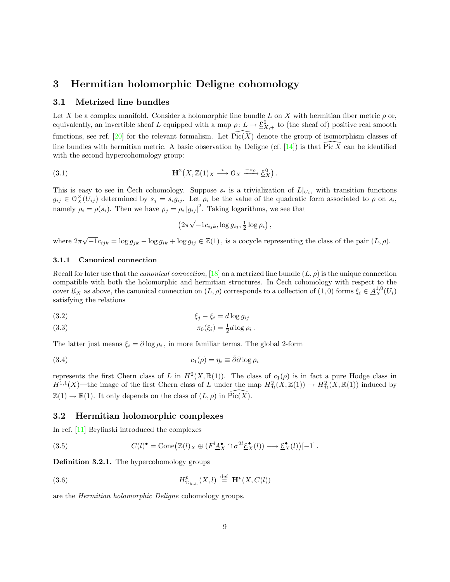# <span id="page-8-0"></span>3 Hermitian holomorphic Deligne cohomology

## <span id="page-8-1"></span>3.1 Metrized line bundles

Let X be a complex manifold. Consider a holomorphic line bundle L on X with hermitian fiber metric  $\rho$  or, equivalently, an invertible sheaf L equipped with a map  $\rho: L \to \underline{\mathcal{E}}_{X,+}^0$  to (the sheaf of) positive real smooth functions,see ref. [[20\]](#page-26-11) for the relevant formalism. Let  $Pic(X)$  denote the group of isomorphism classes of linebundles with hermitian metric. A basic observation by Deligne (cf. [[14\]](#page-26-1)) is that  $\widehat{\text{Pic } X}$  can be identified with the second hypercohomology group:

(3.1) 
$$
\mathbf{H}^{2}(X,\mathbb{Z}(1)_{X} \xrightarrow{\iota} \mathfrak{O}_{X} \xrightarrow{-\pi_{0}} \underline{\mathcal{E}}_{X}^{0}).
$$

This is easy to see in Čech cohomology. Suppose  $s_i$  is a trivialization of  $L|_{U_i}$ , with transition functions  $g_{ij} \in \mathcal{O}_X^{\times}(\tilde{U}_{ij})$  determined by  $s_j = s_i g_{ij}$ . Let  $\rho_i$  be the value of the quadratic form associated to  $\rho$  on  $s_i$ , namely  $\rho_i = \rho(s_i)$ . Then we have  $\rho_j = \rho_i |g_{ij}|^2$ . Taking logarithms, we see that

<span id="page-8-7"></span>
$$
(2\pi\sqrt{-1}c_{ijk}, \log g_{ij}, \frac{1}{2}\log\rho_i),
$$

where  $2\pi$  $\sqrt{-1}c_{ijk} = \log g_{jk} - \log g_{ik} + \log g_{ij} \in \mathbb{Z}(1)$ , is a cocycle representing the class of the pair  $(L, \rho)$ .

## 3.1.1 Canonical connection

Recall for later use that the *canonical connection*, [[18\]](#page-26-12) on a metrized line bundle  $(L, \rho)$  is the unique connection compatible with both the holomorphic and hermitian structures. In Čech cohomology with respect to the cover  $\mathfrak{U}_X$  as above, the canonical connection on  $(L, \rho)$  corresponds to a collection of  $(1, 0)$  forms  $\xi_i \in \underline{A}_X^{1,0}(U_i)$ satisfying the relations

<span id="page-8-5"></span>
$$
\xi_j - \xi_i = d \log g_{ij}
$$

<span id="page-8-6"></span>
$$
\pi_0(\xi_i) = \frac{1}{2}d\log\rho_i.
$$

The latter just means  $\xi_i = \partial \log \rho_i$ , in more familiar terms. The global 2-form

(3.4) 
$$
c_1(\rho) = \eta_i \equiv \bar{\partial}\partial\log\rho_i
$$

represents the first Chern class of L in  $H^2(X,\mathbb{R}(1))$ . The class of  $c_1(\rho)$  is in fact a pure Hodge class in  $H^{1,1}(X)$ —the image of the first Chern class of L under the map  $H^2_{\mathcal{D}}(X,\mathbb{Z}(1)) \to H^2_{\mathcal{D}}(X,\mathbb{R}(1))$  induced by  $\mathbb{Z}(1) \to \mathbb{R}(1)$ . It only depends on the class of  $(L, \rho)$  in  $Pic(X)$ .

## <span id="page-8-2"></span>3.2 Hermitian holomorphic complexes

In ref.[[11\]](#page-26-0) Brylinski introduced the complexes

<span id="page-8-4"></span><span id="page-8-3"></span>(3.5) 
$$
C(l)^{\bullet} = \text{Cone}\big(\mathbb{Z}(l)_X \oplus (F^l \underline{A}_X^{\bullet} \cap \sigma^{2l} \underline{\mathcal{E}}_X^{\bullet}(l)) \longrightarrow \underline{\mathcal{E}}_X^{\bullet}(l)\big)[-1].
$$

Definition 3.2.1. The hypercohomology groups

(3.6) 
$$
H_{\mathcal{D}_{h.h.}}^p(X,l) \stackrel{\text{def}}{=} \mathbf{H}^p(X,C(l))
$$

are the Hermitian holomorphic Deligne cohomology groups.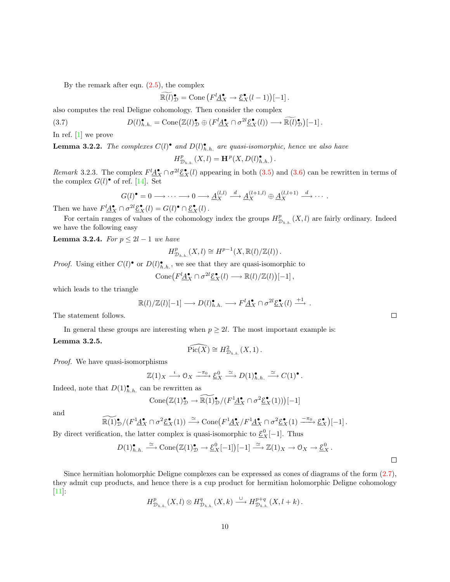Bythe remark after eqn.  $(2.5)$  $(2.5)$  $(2.5)$ , the complex

$$
\widetilde{\mathbb{R}(l)}_{\mathcal{D}}^{\bullet} = \text{Cone}\left(F^l \underline{A}_{X}^{\bullet} \to \underline{\mathcal{E}}_{X}^{\bullet}(l-1)\right)[-1].
$$

also computes the real Deligne cohomology. Then consider the complex

(3.7) 
$$
D(l)_{h.h.}^{\bullet} = \text{Cone}\big(\mathbb{Z}(l)_{\mathcal{D}}^{\bullet} \oplus (F^l \underline{A}_{X}^{\bullet} \cap \sigma^{2l} \underline{\mathcal{E}}_{X}^{\bullet}(l)) \longrightarrow \widetilde{\mathbb{R}(l)_{\mathcal{D}}} \big)[-1].
$$

In ref.[[1\]](#page-25-0) we prove

**Lemma 3.2.2.** The complexes  $C(l)^{\bullet}$  and  $D(l)_{h.h.}^{\bullet}$  are quasi-isomorphic, hence we also have

<span id="page-9-0"></span>
$$
H_{\mathcal{D}_{h.h.}}^p(X,l) = \mathbf{H}^p(X,D(l)_{h.h.}^{\bullet}).
$$

Remark 3.2.3. The complex  $F^l \underline{A}_{X}^{\bullet} \cap \sigma^{2l} \underline{\mathcal{E}}_{X}^{\bullet}(l)$  appearing in both [\(3.5](#page-8-3)) and [\(3.6\)](#page-8-4) can be rewritten in terms of the complex  $G(l)$ <sup>•</sup> of ref. [\[14](#page-26-1)]. Set

$$
G(l)^{\bullet} = 0 \longrightarrow \cdots \longrightarrow 0 \longrightarrow \underline{A}_{X}^{(l,l)} \xrightarrow{d} \underline{A}_{X}^{(l+1,l)} \oplus \underline{A}_{X}^{(l,l+1)} \xrightarrow{d} \cdots
$$

Then we have  $F^l \underline{A}_{X}^{\bullet} \cap \sigma^{2l} \underline{\mathcal{E}}_{X}^{\bullet}(l) = G(l)^{\bullet} \cap \underline{\mathcal{E}}_{X}^{\bullet}(l)$ .

For certain ranges of values of the cohomology index the groups  $H^p_\tau$  $\mathcal{D}_{h,h}^p(X, l)$  are fairly ordinary. Indeed we have the following easy

**Lemma 3.2.4.** For  $p \leq 2l - 1$  we have

$$
H_{\mathcal{D}_{h.h.}}^p(X,l) \cong H^{p-1}(X,\mathbb{R}(l)/\mathbb{Z}(l)).
$$

*Proof.* Using either  $C(l)^{\bullet}$  or  $D(l)^{\bullet}_{h,h}$ , we see that they are quasi-isomorphic to

$$
Cone(F^l\underline{A}_{X}^{\bullet} \cap \sigma^{2l}\underline{\mathcal{E}}_{X}^{\bullet}(l) \longrightarrow \mathbb{R}(l)/\mathbb{Z}(l)[-1],
$$

which leads to the triangle

$$
\mathbb{R}(l)/\mathbb{Z}(l)[-1] \longrightarrow D(l)_{h.h.}^{\bullet} \longrightarrow F^l \underline{A}_{X}^{\bullet} \cap \sigma^{2l} \underline{\mathcal{E}}_{X}^{\bullet}(l) \longrightarrow
$$

The statement follows.

In general these groups are interesting when  $p \geq 2l$ . The most important example is: Lemma 3.2.5.

 $\widehat{\mathrm{Pic}(X)} \cong H_{\mathcal{D}_{h.h.}}^2(X,1)$ .

Proof. We have quasi-isomorphisms

$$
\mathbb{Z}(1)_X \xrightarrow{\iota} \mathbb{O}_X \xrightarrow{-\pi_0} \underline{\mathcal{E}}_X^0 \xrightarrow{\simeq} D(1)_{h.h.}^{\bullet} \xrightarrow{\simeq} C(1)^{\bullet}.
$$

Indeed, note that  $D(1)_{h.h.}^{\bullet}$  can be rewritten as

$$
\text{Cone}\big(\mathbb{Z}(1)_{\mathcal{D}}^{\bullet} \to \widetilde{\mathbb{R}(1)_{\mathcal{D}}^{\bullet}}/(F^{1}\underline{A}_{X}^{\bullet} \cap \sigma^{2}\underline{\mathcal{E}}_{X}^{\bullet}(1))\big)[-1]
$$

and

$$
\widetilde{\mathbb{R}(1)}^{\bullet}_{\mathcal{D}}/(F^{1}\underline{A}^{\bullet}_{X}\cap \sigma^{2}\underline{\mathcal{E}}^{\bullet}_{X}(1)) \xrightarrow{\simeq} \text{Cone}\big(F^{1}\underline{A}^{\bullet}_{X}/F^{1}\underline{A}^{\bullet}_{X}\cap \sigma^{2}\underline{\mathcal{E}}^{\bullet}_{X}(1) \xrightarrow{-\pi_{0}} \underline{\mathcal{E}}^{\bullet}_{X}\big)[-1].
$$

By direct verification, the latter complex is quasi-isomorphic to  $\underline{\mathcal{E}}_X^0[-1]$ . Thus

$$
D(1)_{h.h.}^{\bullet} \xrightarrow{\simeq} \text{Cone}(\mathbb{Z}(1)_{\mathcal{D}}^{\bullet} \to \underline{\mathcal{E}}_{X}^{0}[-1])[-1] \xrightarrow{\simeq} \mathbb{Z}(1)_{X} \to 0_{X} \to \underline{\mathcal{E}}_{X}^{0}.
$$

Since hermitian holomorphic Deligne complexes can be expressed as cones of diagrams of the form([2.7](#page-7-2)), they admit cup products, and hence there is a cup product for hermitian holomorphic Deligne cohomology [[11\]](#page-26-0):

$$
H_{\mathcal{D}_{h.h.}}^p(X,l)\otimes H_{\mathcal{D}_{h.h.}}^q(X,k)\stackrel{\cup}{\longrightarrow}H_{\mathcal{D}_{h.h.}}^{p+q}(X,l+k)\,.
$$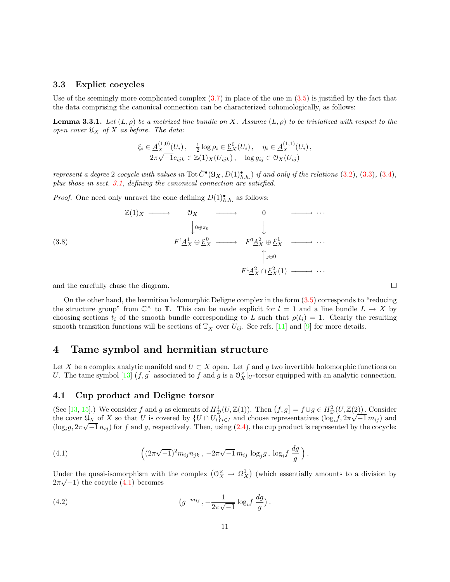### <span id="page-10-0"></span>3.3 Explict cocycles

Useof the seemingly more complicated complex  $(3.7)$  $(3.7)$  in place of the one in  $(3.5)$  $(3.5)$  $(3.5)$  is justified by the fact that the data comprising the canonical connection can be characterized cohomologically, as follows:

**Lemma 3.3.1.** Let  $(L, \rho)$  be a metrized line bundle on X. Assume  $(L, \rho)$  to be trivialized with respect to the open cover  $\mathfrak{U}_X$  of X as before. The data:

$$
\xi_i \in \underline{A}_X^{(1,0)}(U_i), \quad \frac{1}{2} \log \rho_i \in \underline{\mathcal{E}}_X^0(U_i), \quad \eta_i \in \underline{A}_X^{(1,1)}(U_i), 2\pi \sqrt{-1} c_{ijk} \in \mathbb{Z}(1)_X(U_{ijk}), \quad \log g_{ij} \in \mathcal{O}_X(U_{ij})
$$

represent a degree 2 cocycle with values in Tot  $\check{C}^{\bullet}(\mathfrak{U}_X, D(1)_{h.h.}^{\bullet})$  if and only if the relations  $(3.2)$ ,  $(3.3)$  $(3.3)$  $(3.3)$ ,  $(3.4)$  $(3.4)$ , plus those in sect. [3.1](#page-8-1), defining the canonical connection are satisfied.

*Proof.* One need only unravel the cone defining  $D(1)$ <sup>\*</sup><sub>h.h.</sub> as follows:

(3.8) Z(1)<sup>X</sup> −−−−→ O<sup>X</sup> −−−−→ 0 −−−−→ · · · y 0⊕π<sup>0</sup> y F 1A 1 <sup>X</sup> ⊕ E 0 <sup>X</sup> −−−−→ F 1A 2 <sup>X</sup> ⊕ E 1 <sup>X</sup> −−−−→ · · · x ⊕<sup>0</sup> F 1A 2 <sup>X</sup> ∩ E 2 <sup>X</sup>(1) −−−−→ · · ·

and the carefully chase the diagram.

On the other hand, the hermitian holomorphic Deligne complex in the form([3.5\)](#page-8-3) corresponds to "reducing the structure group" from  $\mathbb{C}^{\times}$  to  $\mathbb{T}$ . This can be made explicit for  $l = 1$  and a line bundle  $L \to X$  by choosing sections  $t_i$  of the smooth bundle corresponding to L such that  $\rho(t_i) = 1$ . Clearly the resulting smooth transition functions will be sections of  $\underline{T}_X$  over  $U_{ij}$ . See refs. [\[11](#page-26-0)] and [\[9](#page-26-3)] for more details.

# <span id="page-10-1"></span>4 Tame symbol and hermitian structure

Let X be a complex analytic manifold and  $U \subset X$  open. Let f and g two invertible holomorphic functions on U. The tame symbol [\[13](#page-26-4)]  $(f, g]$  associated to f and g is a  $\mathcal{O}_X^{\times}|_U$ -torsor equipped with an analytic connection.

## <span id="page-10-2"></span>4.1 Cup product and Deligne torsor

(See[[13,](#page-26-4) [15\]](#page-26-9).) We consider f and g as elements of  $H_D^1(U, \mathbb{Z}(1))$ . Then  $(f, g] = f \cup g \in H_D^2(U, \mathbb{Z}(2))$ . Consider the cover  $\mathfrak{U}_X$  of X so that U is covered by  $\{U \cap U_i\}_{i \in I}$  and choose representatives  $(\log_i f, 2\pi\sqrt{1/m_{ij}})$  and  $(\log_i g, 2\pi\sqrt{-1} n_{ij})$  $(\log_i g, 2\pi\sqrt{-1} n_{ij})$  $(\log_i g, 2\pi\sqrt{-1} n_{ij})$  for f and g, respectively. Then, using ([2.4\)](#page-6-1), the cup product is represented by the cocycle:

<span id="page-10-3"></span>(4.1) 
$$
\left( (2\pi\sqrt{-1})^2 m_{ij} n_{jk}, -2\pi\sqrt{-1} m_{ij} \log_j g, \log_i f \frac{dg}{g} \right).
$$

<span id="page-10-4"></span>Under the quasi-isomorphism with the complex  $(0_X^{\times} \to \underline{\Omega}_X^1)$  (which essentially amounts to a division by  $2\pi\sqrt{-1}$ )the cocycle  $(4.1)$  $(4.1)$  $(4.1)$  becomes

(4.2) 
$$
\left(g^{-m_{ij}}, -\frac{1}{2\pi\sqrt{-1}}\log_i f\,\frac{dg}{g}\right).
$$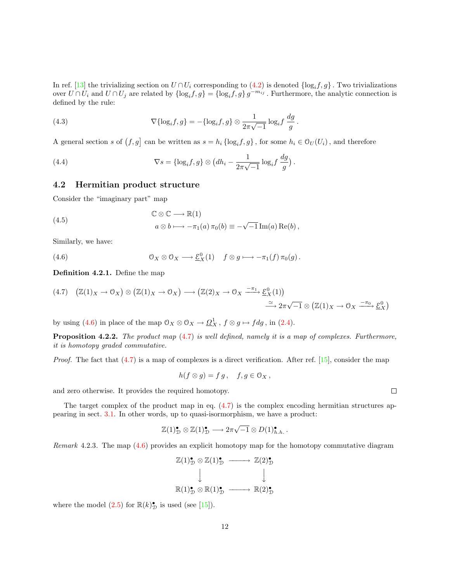In ref. [\[13](#page-26-4)] the trivializing section on  $U \cap U_i$  corresponding to [\(4.2\)](#page-10-4) is denoted  $\{\log_i f, g\}$ . Two trivializations over  $U \cap U_i$  and  $U \cap U_j$  are related by  $\{\log_i f, g\} = \{\log_i f, g\} g^{-m_{ij}}$ . Furthermore, the analytic connection is defined by the rule:

(4.3) 
$$
\nabla{\log_i f, g} = -\{\log_i f, g\} \otimes \frac{1}{2\pi\sqrt{-1}} \log_i f \frac{dg}{g}.
$$

A general section s of  $(f, g]$  can be written as  $s = h_i \{\log_i f, g\}$ , for some  $h_i \in \mathcal{O}_U(U_i)$ , and therefore

(4.4) 
$$
\nabla s = \{\log_i f, g\} \otimes \left(dh_i - \frac{1}{2\pi\sqrt{-1}}\log_i f \frac{dg}{g}\right).
$$

## <span id="page-11-0"></span>4.2 Hermitian product structure

Consider the "imaginary part" map

(4.5) 
$$
\mathbb{C} \otimes \mathbb{C} \longrightarrow \mathbb{R}(1) a \otimes b \longmapsto -\pi_1(a) \pi_0(b) \equiv -\sqrt{-1} \operatorname{Im}(a) \operatorname{Re}(b),
$$

<span id="page-11-1"></span>Similarly, we have:

(4.6) 
$$
\mathcal{O}_X \otimes \mathcal{O}_X \longrightarrow \underline{\mathcal{E}}_X^0(1) \quad f \otimes g \longmapsto -\pi_1(f) \pi_0(g).
$$

Definition 4.2.1. Define the map

<span id="page-11-2"></span>
$$
(4.7) \quad (\mathbb{Z}(1)_X \to 0_X) \otimes (\mathbb{Z}(1)_X \to 0_X) \longrightarrow (\mathbb{Z}(2)_X \to 0_X \xrightarrow{-\pi_1} \underline{\mathcal{E}}_X^0(1))
$$
  

$$
\xrightarrow{\simeq} 2\pi\sqrt{-1} \otimes (\mathbb{Z}(1)_X \to 0_X \xrightarrow{-\pi_0} \underline{\mathcal{E}}_X^0)
$$

byusing ([4.6\)](#page-11-1) in place of the map  $\mathcal{O}_X \otimes \mathcal{O}_X \to \underline{\Omega}^1_X$ ,  $f \otimes g \mapsto f dg$ , in [\(2.4\)](#page-6-1).

<span id="page-11-3"></span>**Proposition 4.2.2.** The product map  $(4.7)$  $(4.7)$  $(4.7)$  is well defined, namely it is a map of complexes. Furthermore, it is homotopy graded commutative.

*Proof.*The fact that  $(4.7)$  $(4.7)$  is a map of complexes is a direct verification. After ref. [\[15](#page-26-9)], consider the map

<span id="page-11-4"></span>
$$
h(f\otimes g)=f\,g\,,\quad f,g\in\mathfrak{O}_X\,,
$$

and zero otherwise. It provides the required homotopy.

The target complex of the product map in eq.  $(4.7)$  is the complex encoding hermitian structures appearing in sect. [3.1.](#page-8-1) In other words, up to quasi-isormorphism, we have a product:

$$
\mathbb{Z}(1)_{\mathcal{D}}^{\bullet} \otimes \mathbb{Z}(1)_{\mathcal{D}}^{\bullet} \longrightarrow 2\pi\sqrt{-1} \otimes D(1)_{h.h.}^{\bullet}.
$$

Remark 4.2.3. The map [\(4.6\)](#page-11-1) provides an explicit homotopy map for the homotopy commutative diagram

$$
\mathbb{Z}(1)_{\mathcal{D}}^{\bullet} \otimes \mathbb{Z}(1)_{\mathcal{D}}^{\bullet} \longrightarrow \mathbb{Z}(2)_{\mathcal{D}}^{\bullet}
$$
  

$$
\downarrow \qquad \qquad \downarrow
$$
  

$$
\mathbb{R}(1)_{\mathcal{D}}^{\bullet} \otimes \mathbb{R}(1)_{\mathcal{D}}^{\bullet} \longrightarrow \mathbb{R}(2)_{\mathcal{D}}^{\bullet}
$$

where the model  $(2.5)$  for  $\mathbb{R}(k)_{\mathcal{D}}^{\bullet}$  is used (see [\[15](#page-26-9)]).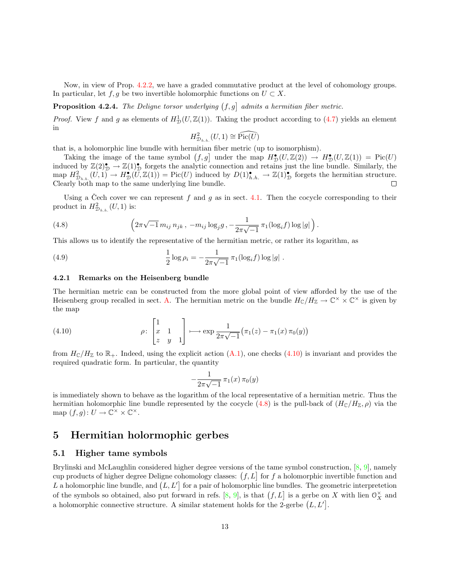Now, in view of Prop. [4.2.2,](#page-11-3) we have a graded commutative product at the level of cohomology groups. In particular, let  $f, g$  be two invertible holomorphic functions on  $U \subset X$ .

<span id="page-12-4"></span>**Proposition 4.2.4.** The Deligne torsor underlying  $(f,g)$  admits a hermitian fiber metric.

*Proof.*View f and g as elements of  $H_D^1(U, \mathbb{Z}(1))$ . Taking the product according to ([4.7\)](#page-11-2) yields an element in

<span id="page-12-5"></span><span id="page-12-3"></span>
$$
H_{\mathcal{D}_{h.h.}}^2(U,1) \cong \widehat{\mathrm{Pic}(U)}
$$

that is, a holomorphic line bundle with hermitian fiber metric (up to isomorphism).

Taking the image of the tame symbol  $(f, g]$  under the map  $H_D^{\bullet}(U, \mathbb{Z}(2)) \to H_D^{\bullet}(U, \mathbb{Z}(1)) = Pic(U)$ induced by  $\mathbb{Z}(2)_{\mathcal{D}}^{\bullet} \to \mathbb{Z}(1)_{\mathcal{D}}^{\bullet}$  forgets the analytic connection and retains just the line bundle. Similarly, the map  $H_{\mathcal{D}_{h,h}}^2(U,1) \to H_{\mathcal{D}}^{\bullet}(U,\mathbb{Z}(1)) = \text{Pic}(U)$  induced by  $D(1)_{h,h}^{\bullet} \to \mathbb{Z}(1)_{\mathcal{D}}^{\bullet}$  forgets the hermitian structure. Clearly both map to the same underlying line bundle.  $\Box$ 

Using a Čech cover we can represent  $f$  and  $g$  as in sect. [4.1.](#page-10-2) Then the cocycle corresponding to their product in  $H_{\mathcal{D}_{h,h.}}^2(U,1)$  is:

(4.8) 
$$
\left(2\pi\sqrt{-1}\,m_{ij}\,n_{jk}\,,\,-m_{ij}\log_j g\,,-\frac{1}{2\pi\sqrt{-1}}\,\pi_1(\log_if)\log|g|\,\right).
$$

This allows us to identify the representative of the hermitian metric, or rather its logarithm, as

(4.9) 
$$
\frac{1}{2}\log \rho_i = -\frac{1}{2\pi\sqrt{-1}}\,\pi_1(\log_i f) \log|g|.
$$

#### <span id="page-12-6"></span>4.2.1 Remarks on the Heisenberg bundle

<span id="page-12-2"></span>The hermitian metric can be constructed from the more global point of view afforded by the use of the Heisenberg group recalled in sect. [A.](#page-22-0) The hermitian metric on the bundle  $H_{\mathbb{C}}/H_{\mathbb{Z}} \to \mathbb{C}^{\times} \times \mathbb{C}^{\times}$  is given by the map

(4.10) 
$$
\rho \colon \begin{bmatrix} 1 \\ x & 1 \\ z & y & 1 \end{bmatrix} \longmapsto \exp \frac{1}{2\pi \sqrt{-1}} (\pi_1(z) - \pi_1(x) \pi_0(y))
$$

from  $H_{\mathbb{C}}/H_{\mathbb{Z}}$  to  $\mathbb{R}_+$ . Indeed, using the explicit action  $(A.1)$ , one checks  $(4.10)$  is invariant and provides the required quadratic form. In particular, the quantity

$$
-\frac{1}{2\pi\sqrt{-1}}\,\pi_1(x)\,\pi_0(y)
$$

is immediately shown to behave as the logarithm of the local representative of a hermitian metric. Thus the hermitianholomorphic line bundle represented by the cocycle ([4.8\)](#page-12-3) is the pull-back of  $(H_{\mathbb{C}}/H_{\mathbb{Z}}, \rho)$  via the map  $(f, g): U \to \mathbb{C}^\times \times \mathbb{C}^\times$ .

# <span id="page-12-0"></span>5 Hermitian holormophic gerbes

#### <span id="page-12-1"></span>5.1 Higher tame symbols

Brylinski and McLaughlin considered higher degree versions of the tame symbol construction, [\[8](#page-26-2), [9](#page-26-3)], namely cup products of higher degree Deligne cohomology classes:  $(f, L]$  for f a holomorphic invertible function and L a holomorphic line bundle, and  $(L, L')$  for a pair of holomorphic line bundles. The geometric interpretetion of the symbols so obtained, also put forward in refs. [\[8](#page-26-2), [9\]](#page-26-3), is that  $(f, L]$  is a gerbe on X with lien  $\mathcal{O}_X^{\times}$  and a holomorphic connective structure. A similar statement holds for the 2-gerbe  $(L, L']$ .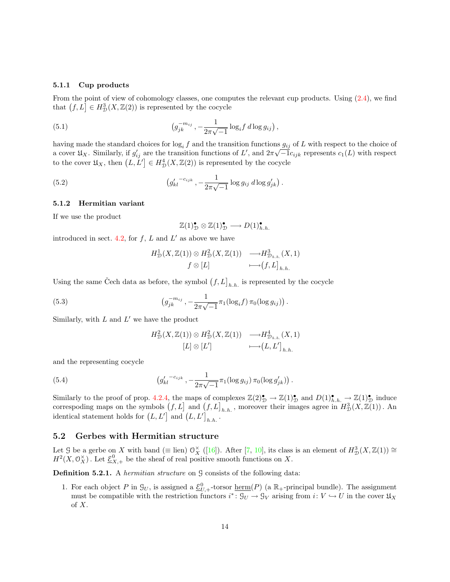#### 5.1.1 Cup products

From the point of view of cohomology classes, one computes the relevant cup products. Using [\(2.4](#page-6-1)), we find that  $(f, L] \in H^3_{\mathcal{D}}(X, \mathbb{Z}(2))$  is represented by the cocycle

(5.1) 
$$
\left(g_{jk}^{-m_{ij}} - \frac{1}{2\pi\sqrt{-1}}\log_i f \, d\log g_{ij}\right),
$$

having made the standard choices for  $log_i f$  and the transition functions  $g_{ij}$  of L with respect to the choice of a cover  $\mathfrak{U}_X$ . Similarly, if  $g'_{ij}$  are the transition functions of L', and  $2\pi\sqrt{-1}c_{ijk}$  represents  $c_1(L)$  with respect to the cover  $\mathfrak{U}_X$ , then  $(L, L'] \in H^4_{\mathcal{D}}(X, \mathbb{Z}(2))$  is represented by the cocycle

(5.2) 
$$
\left(g'_{kl} \right)^{-c_{ijk}}, -\frac{1}{2\pi\sqrt{-1}}\log g_{ij} \,d\log g'_{jk}\right).
$$

#### 5.1.2 Hermitian variant

If we use the product

<span id="page-13-1"></span>
$$
\mathbb{Z}(1)_{\mathcal{D}}^{\bullet} \otimes \mathbb{Z}(1)_{\mathcal{D}}^{\bullet} \longrightarrow D(1)_{h.h.}^{\bullet}
$$

introduced in sect. [4.2,](#page-11-0) for  $f$ ,  $L$  and  $L'$  as above we have

$$
H_D^1(X, \mathbb{Z}(1)) \otimes H_D^2(X, \mathbb{Z}(1)) \longrightarrow H_{\mathcal{D}_{h.h.}}^3(X, 1)
$$
  

$$
f \otimes [L] \longrightarrow (f, L]_{h.h.}
$$

Using the same Čech data as before, the symbol  $(f, L]_{h.h.}$  is represented by the cocycle

(5.3) 
$$
\left(g_{jk}^{-m_{ij}}, -\frac{1}{2\pi\sqrt{-1}}\pi_1(\log_i f)\,\pi_0(\log g_{ij})\right).
$$

Similarly, with  $L$  and  $L'$  we have the product

$$
H_{\mathcal{D}}^{2}(X,\mathbb{Z}(1)) \otimes H_{\mathcal{D}}^{2}(X,\mathbb{Z}(1)) \longrightarrow H_{\mathcal{D}_{h.h.}}^{4}(X,1)
$$

$$
[L] \otimes [L'] \longrightarrow (L,L']_{h.h.}
$$

and the representing cocycle

(5.4) 
$$
\left(g'_{kl} \right)^{-c_{ijk}}, -\frac{1}{2\pi\sqrt{-1}} \pi_1(\log g_{ij}) \pi_0(\log g'_{jk})\right).
$$

Similarly to the proof of prop. [4.2.4](#page-12-4), the maps of complexes  $\mathbb{Z}(2)_{\mathcal{D}}^{\bullet} \to \mathbb{Z}(1)_{\mathcal{D}}^{\bullet}$  and  $D(1)_{h,h}^{\bullet} \to \mathbb{Z}(1)_{\mathcal{D}}^{\bullet}$  induce correspoding maps on the symbols  $(f, L]$  and  $(f, L]_{h,h}$ , moreover their images agree in  $H^3_{\mathcal{D}}(X, \mathbb{Z}(1))$ . An identical statement holds for  $(L, L']$  and  $(L, L']_{h.h.}$ .

## <span id="page-13-0"></span>5.2 Gerbes with Hermitian structure

Let G be a gerbe on X with band ( $\equiv$  lien)  $\mathcal{O}_X^{\times}$  ([[16\]](#page-26-13)). After [\[7](#page-26-6), [10](#page-26-14)], its class is an element of  $H^3_{\mathcal{D}}(X,\mathbb{Z}(1)) \cong$  $H^2(X, \mathcal{O}_X^{\times})$ . Let  $\underline{\mathcal{E}}_{X,+}^0$  be the sheaf of real positive smooth functions on X.

**Definition 5.2.1.** A *hermitian structure* on  $\mathcal G$  consists of the following data:

1. For each object P in  $\mathcal{G}_U$ , is assigned a  $\underline{\mathcal{E}}_{U,+}^0$ -torsor <u>herm</u>(P) (a  $\mathbb{R}_+$ -principal bundle). The assignment must be compatible with the restriction functors  $i^* \colon \mathcal{G}_U \to \mathcal{G}_V$  arising from  $i: V \hookrightarrow U$  in the cover  $\mathfrak{U}_X$ of X.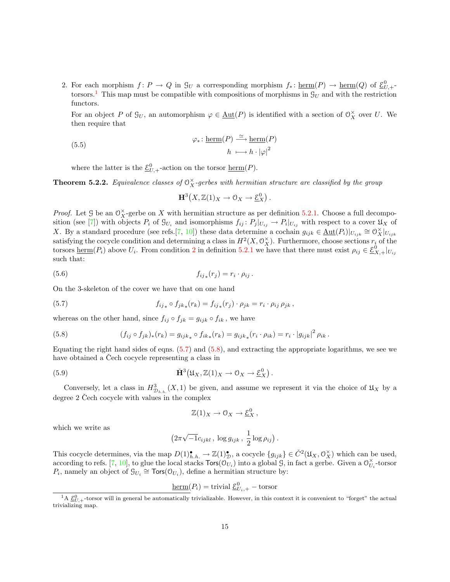<span id="page-14-1"></span>2. For each morphism  $f: P \to Q$  in  $\mathcal{G}_U$  a corresponding morphism  $f_* \colon \underline{\text{herm}}(P) \to \underline{\text{herm}}(Q)$  of  $\underline{\mathcal{E}}_{U,+}^0$ torsors.<sup>[1](#page-14-0)</sup> This map must be compatible with compositions of morphisms in  $\mathcal{G}_U$  and with the restriction functors.

<span id="page-14-5"></span>For an object P of  $\mathcal{G}_U$ , an automorphism  $\varphi \in \underline{\text{Aut}}(P)$  is identified with a section of  $\mathcal{O}_X^{\times}$  over U. We then require that

(5.5) 
$$
\varphi_* \colon \underline{\text{herm}}(P) \xrightarrow{\simeq} \underline{\text{herm}}(P)
$$

$$
h \longmapsto h \cdot |\varphi|^2
$$

where the latter is the  $\underline{\mathcal{E}}_{U,+}^0$ -action on the torsor  $\underline{\text{herm}}(P)$ .

**Theorem 5.2.2.** Equivalence classes of  $\mathcal{O}_X^{\times}$ -gerbes with hermitian structure are classified by the group

<span id="page-14-2"></span>
$$
\mathbf{H}^3\big(X,\mathbb{Z}(1)_X\to\mathcal{O}_X\to\underline{\mathcal{E}}_X^0\big)\,.
$$

*Proof.* Let G be an  $\mathcal{O}_X^{\times}$ -gerbe on X with hermitian structure as per definition [5.2.1](#page-21-1). Choose a full decompo-sition (see [\[7](#page-26-6)]) with objects  $P_i$  of  $\mathcal{G}_{U_i}$  and isomorphisms  $f_{ij}: P_j|_{U_{ij}} \to P_i|_{U_{ij}}$  with respect to a cover  $\mathfrak{U}_X$  of X. By a standard procedure (see refs.[\[7](#page-26-6), [10](#page-26-14)]) these data determine a cochain  $g_{ijk} \in \underline{\text{Aut}}(P_i)|_{U_{ijk}} \cong \mathcal{O}_X^{\times}|_{U_{ijk}}$ satisfying the cocycle condition and determining a class in  $H^2(X, \mathcal{O}_X^{\times})$ . Furthermore, choose sections  $r_i$  of the torsors  $\underline{\text{herm}}(P_i)$  above  $U_i$ . From condition [2](#page-14-1) in definition [5.2.1](#page-21-1) we have that there must exist  $\rho_{ij} \in \underline{\mathcal{E}}_{X,+}^0|_{U_{ij}}$ such that:

<span id="page-14-4"></span>
$$
(5.6) \t\t\t f_{ij*}(r_j) = r_i \cdot \rho_{ij}.
$$

On the 3-skeleton of the cover we have that on one hand

(5.7) 
$$
f_{ij_*} \circ f_{jk_*}(r_k) = f_{ij_*}(r_j) \cdot \rho_{jk} = r_i \cdot \rho_{ij} \rho_{jk},
$$

whereas on the other hand, since  $f_{ij} \circ f_{jk} = g_{ijk} \circ f_{ik}$ , we have

(5.8) 
$$
(f_{ij} \circ f_{jk})_*(r_k) = g_{ijk_*} \circ f_{ik_*}(r_k) = g_{ijk_*}(r_i \cdot \rho_{ik}) = r_i \cdot |g_{ijk}|^2 \rho_{ik}.
$$

Equatingthe right hand sides of eqns.  $(5.7)$  and  $(5.8)$  $(5.8)$ , and extracting the appropriate logarithms, we see we have obtained a Cech cocycle representing a class in

(5.9) 
$$
\check{H}^3(\mathfrak{U}_X, \mathbb{Z}(1)_X \to \mathfrak{O}_X \to \underline{\mathcal{E}}_X^0).
$$

Conversely, let a class in  $H_{\mathcal{D}_{h,h}}^3(X,1)$  be given, and assume we represent it via the choice of  $\mathfrak{U}_X$  by a degree  $2$  Čech cocycle with values in the complex

<span id="page-14-3"></span>
$$
\mathbb{Z}(1)_X \to 0_X \to \underline{\mathcal{E}}_X^0 ,
$$

which we write as

$$
\left(2\pi\sqrt{-1}c_{ijkl}\, ,\, \log g_{ijk}\, ,\, \frac{1}{2}\log \rho_{ij}\right).
$$

This cocycle determines, via the map  $D(1)_{h.h.}^{\bullet} \to \mathbb{Z}(1)_{\mathcal{D}}^{\bullet}$ , a cocycle  $\{g_{ijk}\}\in \check{C}^{2}(\mathfrak{U}_{X}, \mathfrak{O}_{X}^{\times})$  which can be used, according to refs. [\[7](#page-26-6), [10](#page-26-14)], to glue the local stacks  $\textsf{Tors}(\mathcal{O}_{U_i})$  into a global  $\mathcal{G}$ , in fact a gerbe. Given a  $\mathcal{O}_U^{\times}$  $\bigcup_{i=1}^{\infty}$ -torsor  $P_i$ , namely an object of  $\mathcal{G}_{U_i} \cong \text{Tors}(\mathcal{O}_{U_i})$ , define a hermitian structure by:

$$
\underline{\text{herm}}(P_i) = \text{trivial } \underline{\mathcal{E}}_{U_i,+}^0 - \text{torsor}
$$

<span id="page-14-0"></span><sup>&</sup>lt;sup>1</sup>A  $\underline{\mathcal{E}}_{U,+}^{0}$ -torsor will in general be automatically trivializable. However, in this context it is convenient to "forget" the actual trivializing map.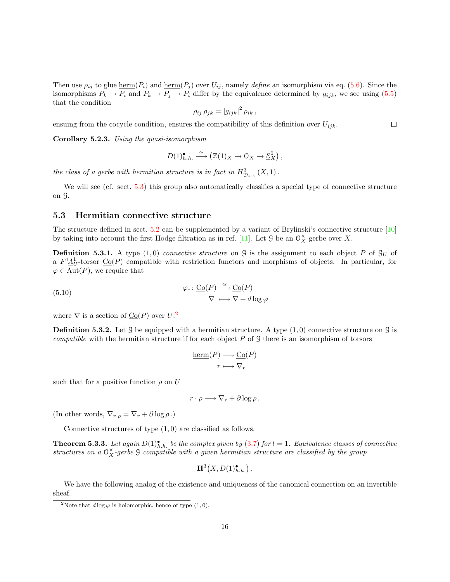Thenuse  $\rho_{ij}$  to glue  $\underline{\text{herm}}(P_i)$  and  $\underline{\text{herm}}(P_j)$  over  $U_{ij}$ , namely define an isomorphism via eq. ([5.6\)](#page-14-4). Since the isomorphisms  $P_k \to P_i$  and  $P_k \to P_j \to P_i$  differ by the equivalence determined by  $g_{ijk}$ , we see using [\(5.5](#page-14-5)) that the condition

$$
\rho_{ij} \, \rho_{jk} = \left| g_{ijk} \right|^2 \rho_{ik} \,,
$$

ensuing from the cocycle condition, ensures the compatibility of this definition over  $U_{ijk}$ .

Corollary 5.2.3. Using the quasi-isomorphism

$$
D(1)_{h.h.}^{\bullet} \xrightarrow{\simeq} (\mathbb{Z}(1)_X \to 0_X \to \underline{\mathcal{E}}_X^0),
$$

the class of a gerbe with hermitian structure is in fact in  $H_{\mathcal{D}_{h,h}}^3(X,1)$ .

We will see (cf. sect. [5.3\)](#page-15-0) this group also automatically classifies a special type of connective structure on G.

#### <span id="page-15-0"></span>5.3 Hermitian connective structure

The structure defined in sect. [5.2](#page-13-0) can be supplemented by a variant of Brylinski's connective structure [\[10](#page-26-14)] bytaking into account the first Hodge filtration as in ref. [[11\]](#page-26-0). Let G be an  $\mathcal{O}_X^{\times}$  gerbe over X.

**Definition 5.3.1.** A type  $(1,0)$  connective structure on G is the assignment to each object P of  $\mathcal{G}_U$  of a  $F^1 \underline{A}^1_U$ -torsor  $\underline{\text{Co}}(P)$  compatible with restriction functors and morphisms of objects. In particular, for  $\varphi \in \underline{\text{Aut}}(P)$ , we require that

(5.10) 
$$
\varphi_* \colon \underline{\text{Co}}(P) \xrightarrow{\simeq} \underline{\text{Co}}(P) \nabla \longmapsto \nabla + d \log \varphi
$$

where  $\nabla$  is a section of  $\underline{\text{Co}}(P)$  over  $U$ .<sup>[2](#page-15-1)</sup>

**Definition 5.3.2.** Let  $\mathcal{G}$  be equipped with a hermitian structure. A type  $(1, 0)$  connective structure on  $\mathcal{G}$  is *compatible* with the hermitian structure if for each object  $P$  of  $\mathcal G$  there is an isomorphism of torsors

$$
\underline{\mathrm{herm}}(P) \longrightarrow \underline{\mathrm{Co}}(P)
$$

$$
r \longmapsto \nabla_r
$$

such that for a positive function  $\rho$  on U

$$
r \cdot \rho \longmapsto \nabla_r + \partial \log \rho \, .
$$

(In other words,  $\nabla_{r \cdot \rho} = \nabla_r + \partial \log \rho$ .)

Connective structures of type  $(1,0)$  are classified as follows.

**Theorem 5.3.3.** Let again  $D(1)_{h,h.}^{\bullet}$  be the complex given by ([3.7](#page-9-0)) for  $l = 1$ . Equivalence classes of connective structures on a  $\mathcal{O}_X^{\times}$ -gerbe  $\mathcal G$  compatible with a given hermitian structure are classified by the group

$$
\mathbf{H}^3(X, D(1)_{h.h.}^\bullet).
$$

We have the following analog of the existence and uniqueness of the canonical connection on an invertible sheaf.

<span id="page-15-1"></span><sup>&</sup>lt;sup>2</sup>Note that  $d \log \varphi$  is holomorphic, hence of type  $(1, 0)$ .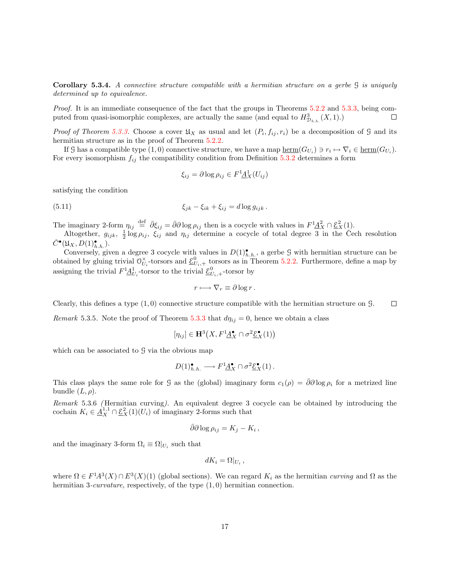Corollary 5.3.4. A connective structure compatible with a hermitian structure on a gerbe  $\beta$  is uniquely determined up to equivalence.

Proof. It is an immediate consequence of the fact that the groups in Theorems [5.2.2](#page-19-0) and [5.3.3,](#page-19-1) being computed from quasi-isomorphic complexes, are actually the same (and equal to  $H_{\mathcal{D}_{h,h}}^3(X,1)$ .) □

*Proof of Theorem [5.3.3](#page-19-1).* Choose a cover  $\mathfrak{U}_X$  as usual and let  $(P_i, f_{ij}, r_i)$  be a decomposition of G and its hermitian structure as in the proof of Theorem  $5.2.2$ .

If G has a compatible type  $(1,0)$  connective structure, we have a map  $\underline{\text{herm}}(G_{U_i}) \ni r_i \mapsto \nabla_i \in \underline{\text{herm}}(G_{U_i})$ . For every isomorphism  $f_{ij}$  the compatibility condition from Definition [5.3.2](#page-19-0) determines a form

$$
\xi_{ij} = \partial \log \rho_{ij} \in F^1 \underline{A}^1_X (U_{ij})
$$

satisfying the condition

$$
\xi_{jk} - \xi_{ik} + \xi_{ij} = d \log g_{ijk}.
$$

The imaginary 2-form  $\eta_{ij} \stackrel{\text{def}}{=} \bar{\partial} \xi_{ij} = \bar{\partial} \partial \log \rho_{ij}$  then is a cocycle with values in  $F^1 \underline{A}_X^2 \cap \underline{\mathcal{E}}_X^2(1)$ .

Altogether,  $g_{ijk}$ ,  $\frac{1}{2} \log \rho_{ij}$ ,  $\xi_{ij}$  and  $\eta_{ij}$  determine a cocycle of total degree  $\overline{3}$  in the Cech resolution  $\check{C}^{\bullet}(\mathfrak{U}_X, D(1)_{h.h.}^{\bullet}).$ 

Conversely, given a degree 3 cocycle with values in  $D(1)_{h,h}^{\bullet}$ , a gerbe 9 with hermitian structure can be obtained by gluing trivial  $\mathcal{O}_U^{\times}$  $\mathcal{U}_i$ -torsors and  $\underline{\mathcal{E}}_{U_i,+}^0$  torsors as in Theorem [5.2.2.](#page-19-0) Furthermore, define a map by assigning the trivial  $F^1 \underline{A}^1_{U_i}$ -torsor to the trivial  $\underline{\mathcal{E}}^0_{U_i,+}$ -torsor by

$$
r \longmapsto \nabla_r \equiv \partial \log r \, .
$$

Clearly, this defines a type  $(1,0)$  connective structure compatible with the hermitian structure on  $\mathcal{G}$ .  $\Box$ 

Remark 5.3.5. Note the proof of Theorem [5.3.3](#page-19-1) that  $d\eta_{ij} = 0$ , hence we obtain a class

$$
[\eta_{ij}] \in \mathbf{H}^3\big(X, F^{\mathbf{1}}\underline{A}_X^{\bullet} \cap \sigma^2 \underline{\mathcal{E}}_X^{\bullet}(1)\big)
$$

which can be associated to  $\mathcal G$  via the obvious map

$$
D(1)_{h.h.}^{\bullet} \longrightarrow F^1 \underline{A}_{X}^{\bullet} \cap \sigma^2 \underline{\mathcal{E}}_{X}^{\bullet}(1).
$$

This class plays the same role for G as the (global) imaginary form  $c_1(\rho) = \bar{\partial}\partial \log \rho_i$  for a metrized line bundle  $(L, \rho)$ .

Remark 5.3.6 (Hermitian curving). An equivalent degree 3 cocycle can be obtained by introducing the cochain  $K_i \in \underline{A}_X^{1,1} \cap \underline{\mathcal{E}}_X^2(1)(U_i)$  of imaginary 2-forms such that

$$
\bar{\partial}\partial\log\rho_{ij} = K_j - K_i \,,
$$

and the imaginary 3-form  $\Omega_i \equiv \Omega|_{U_i}$  such that

$$
dK_i = \Omega|_{U_i},
$$

where  $\Omega \in F^1A^3(X) \cap E^3(X)(1)$  (global sections). We can regard  $K_i$  as the hermitian curving and  $\Omega$  as the hermitian 3-*curvature*, respectively, of the type  $(1,0)$  hermitian connection.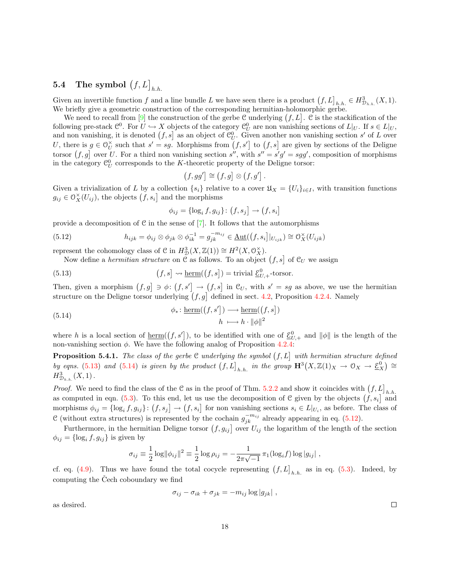# <span id="page-17-0"></span> ${\bf 5.4}\quad {\bf The\ symbol}\ \big(f, L\big]_{h.h.}$

Given an invertible function f and a line bundle L we have seen there is a product  $(f, L]_{h,h} \in H_{\mathcal{D}_{h,h}}^3(X,1)$ . We briefly give a geometric construction of the corresponding hermitian-holomorphic gerbe.

Weneed to recall from [[9\]](#page-26-3) the construction of the gerbe C underlying  $(f, L]$ . C is the stackification of the following pre-stack  $\mathcal{C}^0$ . For  $U \hookrightarrow X$  objects of the category  $\mathcal{C}_U^0$  are non vanishing sections of  $L|_U$ . If  $s \in L|_U$ , and non vanishing, it is denoted  $(f, s]$  as an object of  $\mathcal{C}_U^0$ . Given another non vanishing section s' of L over U, there is  $g \in \mathcal{O}_U^{\times}$  $U$  such that  $s' = sg$ . Morphisms from  $(f, s')$  to  $(f, s]$  are given by sections of the Deligne torsor  $(f, g]$  over U. For a third non vanishing section s'', with  $s'' = s'g' = sgg'$ , composition of morphisms in the category  $\mathcal{C}_U^0$  corresponds to the K-theoretic property of the Deligne torsor:

<span id="page-17-3"></span><span id="page-17-1"></span>
$$
(f, gg') \cong (f,g] \otimes (f,g') .
$$

Given a trivialization of L by a collection  $\{s_i\}$  relative to a cover  $\mathfrak{U}_X = \{U_i\}_{i\in I}$ , with transition functions  $g_{ij} \in \mathcal{O}_X^{\times}(U_{ij})$ , the objects  $(\check{f}, s_i]$  and the morphisms

<span id="page-17-2"></span>
$$
\phi_{ij} = \{ \log_i f, g_{ij} \} \colon \big(f, s_j \big] \to \big(f, s_i \big]
$$

providea decomposition of C in the sense of  $[7]$  $[7]$ . It follows that the automorphisms

(5.12) 
$$
h_{ijk} = \phi_{ij} \otimes \phi_{jk} \otimes \phi_{ik}^{-1} = g_{jk}^{-m_{ij}} \in \underline{\mathrm{Aut}}((f, s_i]|_{U_{ijk}}) \cong \mathcal{O}_X^{\times}(U_{ijk})
$$

represent the cohomology class of  $C$  in  $H^3_{\mathcal{D}}(X, \mathbb{Z}(1)) \cong H^2(X, \mathcal{O}_X^{\times}).$ 

Now define a *hermitian structure* on  $\mathfrak C$  as follows. To an object  $(f, s]$  of  $\mathfrak C_U$  we assign

(5.13) 
$$
(f,s] \rightsquigarrow \underline{\text{herm}}((f,s]) = \text{trivial } \underline{\mathcal{E}}_{U,+}^0 \text{-torsor.}
$$

Then, given a morphism  $(f, g] \ni \phi: (f, s') \rightarrow (f, s]$  in  $\mathcal{C}_U$ , with  $s' = sg$  as above, we use the hermitian structure on the Deligne torsor underlying  $(f, g]$  defined in sect. [4.2](#page-11-0), Proposition [4.2.4.](#page-12-4) Namely

(5.14) 
$$
\phi_* : \underline{\text{herm}}((f, s']) \longrightarrow \underline{\text{herm}}((f, s])
$$

$$
h \longmapsto h \cdot ||\phi||^2
$$

where h is a local section of <u>herm</u>( $(f, s')$ ), to be identified with one of  $\underline{\mathcal{E}}_{U,+}^0$  and  $\|\phi\|$  is the length of the non-vanishing section  $\phi$ . We have the following analog of Proposition [4.2.4](#page-12-4):

**Proposition 5.4.1.** The class of the gerbe C underlying the symbol  $(f, L]$  with hermitian structure defined by eqns. [\(5.13](#page-17-1)) and [\(5.14](#page-17-2)) is given by the product  $(f, L]_{h.h.}$  in the group  $\mathbf{H}^3(X, \mathbb{Z}(1)_X \to \mathcal{O}_X \to \underline{\mathcal{E}}_X^0) \cong$  $H_{\mathcal{D}_{h,h.}}^{3}(X,1)$ .

*Proof.* We need to find the class of the C as in the proof of Thm. [5.2.2](#page-19-0) and show it coincides with  $(f, L]_{h.h.}$ ascomputed in eqn. ([5.3](#page-13-1)). To this end, let us use the decomposition of C given by the objects  $(f, s_i]$  and morphisms  $\phi_{ij} = \{\log_i f, g_{ij}\} : (f, s_j] \to (f, s_i]$  for non vanishing sections  $s_i \in L|_{U_i}$ , as before. The class of C(without extra structures) is represented by the cochain  $g_{jk}^{-m_{ij}}$  already appearing in eq. ([5.12\)](#page-17-3).

Furthermore, in the hermitian Deligne torsor  $(f, g_{ij}]$  over  $U_{ij}$  the logarithm of the length of the section  $\phi_{ij} = \{\log_i f, g_{ij}\}\$ is given by

$$
\sigma_{ij} \equiv \frac{1}{2} \log \|\phi_{ij}\|^2 \equiv \frac{1}{2} \log \rho_{ij} = -\frac{1}{2\pi\sqrt{-1}} \pi_1(\log_i f) \log |g_{ij}|,
$$

cf. eq. [\(4.9\)](#page-12-5). Thus we have found the total cocycle representing  $(f, L]_{h,h}$  as in eq. [\(5.3\)](#page-13-1). Indeed, by computing the Čech coboundary we find

$$
\sigma_{ij} - \sigma_{ik} + \sigma_{jk} = -m_{ij} \log |g_{jk}| \ ,
$$

as desired.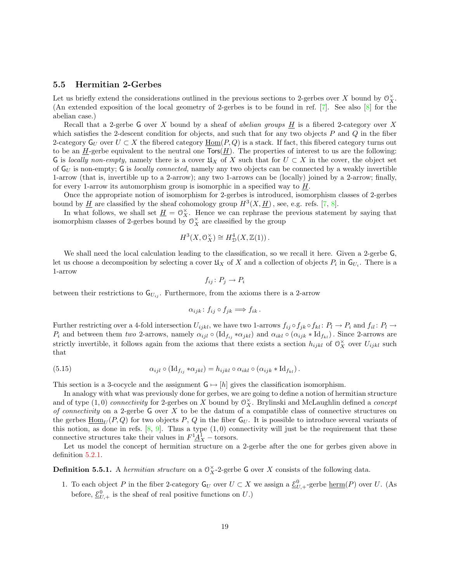# <span id="page-18-0"></span>5.5 Hermitian 2-Gerbes

Let us briefly extend the considerations outlined in the previous sections to 2-gerbes over X bound by  $\mathcal{O}_X^{\times}$ . (An extended exposition of the local geometry of 2-gerbes is to be found in ref.[[7\]](#page-26-6). See also[[8\]](#page-26-2) for the abelian case.)

Recall that a 2-gerbe G over X bound by a sheaf of *abelian groups*  $H$  is a fibered 2-category over X which satisfies the 2-descent condition for objects, and such that for any two objects  $P$  and  $Q$  in the fiber 2-category  $G_U$  over  $U \subset X$  the fibered category  $\underline{Hom}(P,Q)$  is a stack. If fact, this fibered category turns out to be an  $\underline{H}$ -gerbe equivalent to the neutral one  $\textsf{Tors}(\underline{H})$ . The properties of interest to us are the following: G is locally non-empty, namely there is a cover  $\mathfrak{U}_X$  of X such that for  $U \subset X$  in the cover, the object set of  $G_U$  is non-empty; G is *locally connected*, namely any two objects can be connected by a weakly invertible 1-arrow (that is, invertible up to a 2-arrow); any two 1-arrows can be (locally) joined by a 2-arrow; finally, for every 1-arrow its automorphism group is isomorphic in a specified way to  $H$ .

Once the appropriate notion of isomorphism for 2-gerbes is introduced, isomorphism classes of 2-gerbes boundby  $\underline{H}$  are classified by the sheaf cohomology group  $H^3(X, \underline{H})$ , see, e.g. refs. [[7,](#page-26-6) [8\]](#page-26-2).

In what follows, we shall set  $\underline{H} = \mathcal{O}_X^{\times}$ . Hence we can rephrase the previous statement by saying that isomorphism classes of 2-gerbes bound by  $\mathcal{O}_X^{\times}$  are classified by the group

$$
H^3(X, \mathcal{O}_X^{\times}) \cong H^4_{\mathcal{D}}(X, \mathbb{Z}(1)).
$$

We shall need the local calculation leading to the classification, so we recall it here. Given a 2-gerbe  $\mathsf{G},$ let us choose a decomposition by selecting a cover  $\mathfrak{U}_X$  of X and a collection of objects  $P_i$  in  $\mathsf{G}_{U_i}$ . There is a 1-arrow

$$
f_{ij} \colon P_j \to P_i
$$

between their restrictions to  $\mathsf{G}_{U_{ij}}$ . Furthermore, from the axioms there is a 2-arrow

$$
\alpha_{ijk} \colon f_{ij} \circ f_{jk} \Longrightarrow f_{ik} \, .
$$

Further restricting over a 4-fold intersection  $U_{ijkl}$ , we have two 1-arrows  $f_{ij} \circ f_{jk} \circ f_{kl} : P_l \to P_i$  and  $f_{il} : P_l \to P_l$  $P_i$  and between them two 2-arrows, namely  $\alpha_{ijl} \circ (\mathrm{Id}_{f_{ij}} * \alpha_{jkl})$  and  $\alpha_{ikl} \circ (\alpha_{ijk} * \mathrm{Id}_{f_{kl}})$ . Since 2-arrows are strictly invertible, it follows again from the axioms that there exists a section  $h_{ijkl}$  of  $\mathcal{O}_X^{\times}$  over  $U_{ijkl}$  such that

<span id="page-18-1"></span>(5.15) 
$$
\alpha_{ijl} \circ (\mathrm{Id}_{f_{ij}} * \alpha_{jkl}) = h_{ijkl} \circ \alpha_{ikl} \circ (\alpha_{ijk} * \mathrm{Id}_{f_{kl}}).
$$

This section is a 3-cocycle and the assignment  $G \mapsto [h]$  gives the classification isomorphism.

In analogy with what was previously done for gerbes, we are going to define a notion of hermitian structure and of type  $(1,0)$  connectivity for 2-gerbes on X bound by  $\mathcal{O}_X^{\times}$ . Brylinski and McLaughlin defined a concept of connectivity on a 2-gerbe  $G$  over  $X$  to be the datum of a compatible class of connective structures on the gerbes  $\underline{\text{Hom}}_{U}(P,Q)$  for two objects P, Q in the fiber  $G_{U}$ . It is possible to introduce several variants of this notion, as done in refs.  $[8, 9]$  $[8, 9]$ . Thus a type  $(1, 0)$  connectivity will just be the requirement that these connective structures take their values in  $F^1 \underline{A}^1_X$  – torsors.

Let us model the concept of hermitian structure on a 2-gerbe after the one for gerbes given above in definition [5.2.1.](#page-21-1)

**Definition 5.5.1.** A hermitian structure on a  $\mathbb{O}_X^{\times}$ -2-gerbe G over X consists of the following data.

1. To each object P in the fiber 2-category  $G_U$  over  $U \subset X$  we assign a  $\underline{\mathcal{E}}_{U,+}^0$ -gerbe  $\underline{\text{herm}}(P)$  over U. (As before,  $\underline{\mathcal{E}}_{U,+}^0$  is the sheaf of real positive functions on U.)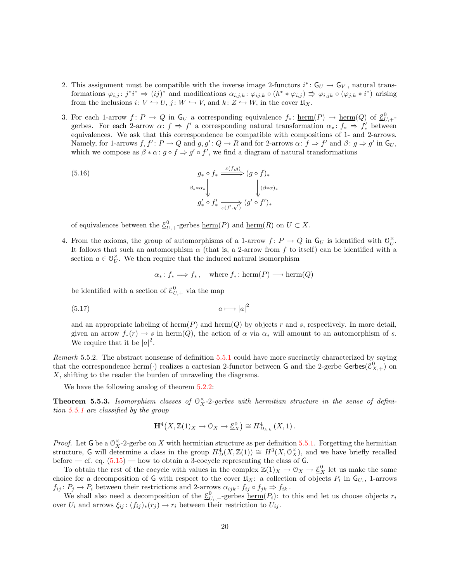- 2. This assignment must be compatible with the inverse image 2-functors  $i^* \colon \mathsf{G}_U \to \mathsf{G}_V$ , natural transformations  $\varphi_{i,j}: j^*i^* \Rightarrow (ij)^*$  and modifications  $\alpha_{i,j,k}: \varphi_{ij,k} \circ (h^* * \varphi_{i,j}) \Rightarrow \varphi_{i,jk} \circ (\varphi_{j,k} * i^*)$  arising from the inclusions  $i: V \hookrightarrow U$ ,  $j: W \hookrightarrow V$ , and  $k: Z \hookrightarrow W$ , in the cover  $\mathfrak{U}_X$ .
- 3. For each 1-arrow  $f: P \to Q$  in  $\mathsf{G}_U$  a corresponding equivalence  $f_* \colon \underline{\text{herm}}(P) \to \underline{\text{herm}}(Q)$  of  $\underline{\mathcal{E}}_{U,+}^0$ gerbes. For each 2-arrow  $\alpha: f \Rightarrow f'$  a corresponding natural transformation  $\alpha_*: f_* \Rightarrow f'_*$  between equivalences. We ask that this correspondence be compatible with compositions of 1- and 2-arrows. Namely, for 1-arrows  $f, f' : P \to Q$  and  $g, g' : Q \to R$  and for 2-arrows  $\alpha : f \Rightarrow f'$  and  $\beta : g \Rightarrow g'$  in  $\mathsf{G}_U$ , which we compose as  $\beta * \alpha : g \circ f \Rightarrow g' \circ f'$ , we find a diagram of natural transformations

(5.16) 
$$
g_* \circ f_* \xrightarrow{\varepsilon(f,g)} (g \circ f)_*
$$

$$
\downarrow^{\beta_* * \alpha_*} \downarrow^{\beta_*} \qquad \qquad \downarrow^{\beta_* \alpha_*}
$$

$$
g'_* \circ f'_* \xrightarrow[\varepsilon(f', g')} (g' \circ f')_*
$$

of equivalences between the  $\underline{\mathcal{E}}_{U,+}^0$ -gerbes  $\underline{\text{herm}}(P)$  and  $\underline{\text{herm}}(R)$  on  $U \subset X$ .

4. From the axioms, the group of automorphisms of a 1-arrow  $f: P \to Q$  in  $\mathsf{G}_U$  is identified with  $\mathcal{O}_U^{\times}$  $_U^{\times}$ . It follows that such an automorphism  $\alpha$  (that is, a 2-arrow from f to itself) can be identified with a section  $a \in \mathcal{O}_U^\times$  $\check{U}$ . We then require that the induced natural isomorphism

<span id="page-19-3"></span><span id="page-19-2"></span>
$$
\alpha_* \colon f_* \Longrightarrow f_*, \quad \text{where } f_* \colon \text{herm}(P) \longrightarrow \text{herm}(Q)
$$

be identified with a section of  $\underline{\mathcal{E}}_{U,+}^0$  via the map

$$
(5.17) \t\t a \longmapsto |a|^2
$$

and an appropriate labeling of  $\text{herm}(P)$  and  $\text{herm}(Q)$  by objects r and s, respectively. In more detail, given an arrow  $f_*(r) \to s$  in herm $(Q)$ , the action of  $\alpha$  via  $\alpha_*$  will amount to an automorphism of s. We require that it be  $|a|^2$ .

<span id="page-19-0"></span>Remark 5.5.2. The abstract nonsense of definition [5.5.1](#page-21-1) could have more succinctly characterized by saying that the correspondence  $\underline{\text{herm}}(\cdot)$  realizes a cartesian 2-functor between G and the 2-gerbe Gerbes( $\underline{\mathcal{E}}_{X,+}^0$ ) on X, shifting to the reader the burden of unraveling the diagrams.

We have the following analog of theorem [5.2.2](#page-19-0):

<span id="page-19-1"></span>**Theorem 5.5.3.** Isomorphism classes of  $O_X^{\times}$ -2-gerbes with hermitian structure in the sense of definition [5.5.1](#page-21-1) are classified by the group

$$
\mathbf{H}^4(X,\mathbb{Z}(1)_X \to \mathcal{O}_X \to \underline{\mathcal{E}}_X^0) \cong H^4_{\mathcal{D}_{h,h.}}(X,1).
$$

*Proof.* Let G be a  $\mathbb{O}_X^{\times}$ -2-gerbe on X with hermitian structure as per definition [5.5.1](#page-21-1). Forgetting the hermitian structure, G will determine a class in the group  $H_D^4(X, \mathbb{Z}(1)) \cong H^3(X, \mathbb{O}_X^{\times})$ , and we have briefly recalled before— cf. eq.  $(5.15)$  $(5.15)$  $(5.15)$  — how to obtain a 3-cocycle representing the class of G.

To obtain the rest of the cocycle with values in the complex  $\mathbb{Z}(1)_X \to 0_X \to \underline{\mathcal{E}}_X^0$  let us make the same choice for a decomposition of G with respect to the cover  $\mathfrak{U}_X$ : a collection of objects  $P_i$  in  $\mathsf{G}_{U_i}$ , 1-arrows  $f_{ij} : P_j \to P_i$  between their restrictions and 2-arrows  $\alpha_{ijk} : f_{ij} \circ f_{jk} \Rightarrow f_{ik}$ .

We shall also need a decomposition of the  $\underline{\mathcal{E}}_{U_i,+}^0$  gerbes  $\underline{\text{herm}}(P_i)$ : to this end let us choose objects  $r_i$ over  $U_i$  and arrows  $\xi_{ij}$ :  $(f_{ij})_*(r_j) \to r_i$  between their restriction to  $U_{ij}$ .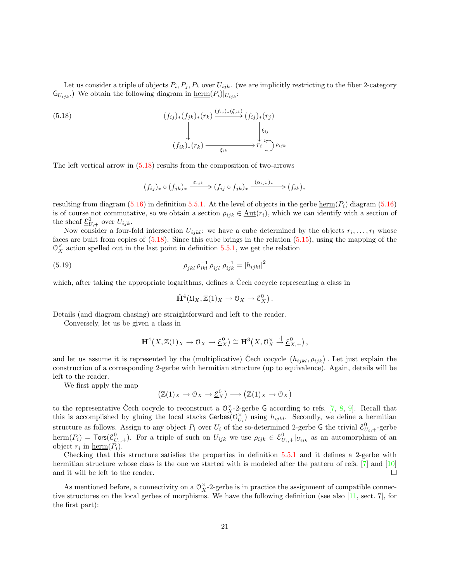Let us consider a triple of objects  $P_i, P_j, P_k$  over  $U_{ijk}$ . (we are implicitly restricting to the fiber 2-category  $\mathsf{G}_{U_{ijk}}$ .) We obtain the following diagram in  $\underline{\text{herm}}(P_i)|_{U_{ijk}}$ :

(5.18)  

$$
(f_{ij})_{*}(f_{jk})_{*}(r_{k}) \xrightarrow{\left(f_{ij}\right)_{*}\left(\xi_{jk}\right)} (f_{ij})_{*}(r_{j})
$$

$$
(f_{ik})_{*}(r_{k}) \xrightarrow{\xi_{ik}} r_{i} \xrightarrow{\xi_{ijk}} \rho_{ijk}
$$

The left vertical arrow in([5.18\)](#page-20-0) results from the composition of two-arrows

<span id="page-20-0"></span>
$$
(f_{ij})_* \circ (f_{jk})_* \xrightarrow{\varepsilon_{ijk}} (f_{ij} \circ f_{jk})_* \xrightarrow{(\alpha_{ijk})_*} (f_{ik})_*
$$

resulting from diagram [\(5.16](#page-19-2)) in definition [5.5.1.](#page-21-1) At the level of objects in the gerbe  $\text{herm}(P_i)$  diagram (5.16) is of course not commutative, so we obtain a section  $\rho_{ijk} \in \underline{\text{Aut}}(r_i)$ , which we can identify with a section of the sheaf  $\underline{\mathcal{E}}_{U,+}^0$  over  $U_{ijk}$ .

Now consider a four-fold intersection  $U_{ijkl}$ : we have a cube determined by the objects  $r_i, \ldots, r_l$  whose faces are built from copies of([5.18](#page-20-0)). Since this cube brings in the relation([5.15\)](#page-18-1), using the mapping of the  $\mathcal{O}_X^{\times}$  action spelled out in the last point in definition [5.5.1,](#page-21-1) we get the relation

(5.19) 
$$
\rho_{jkl} \rho_{ikl}^{-1} \rho_{ijl} \rho_{ijk}^{-1} = |h_{ijkl}|^2
$$

which, after taking the appropriate logarithms, defines a Čech cocycle representing a class in

$$
\check{H}^4(\mathfrak{U}_X,\mathbb{Z}(1)_X\to \mathfrak{O}_X\to \underline{\mathcal{E}}_X^0).
$$

Details (and diagram chasing) are straightforward and left to the reader.

Conversely, let us be given a class in

$$
\mathbf{H}^4(X,\mathbb{Z}(1)_X\to \mathbb{O}_X\to \underline{\mathcal{E}}_X^0) \cong \mathbf{H}^3\big(X,\mathbb{O}_X^{\times}\stackrel{|\cdot|}{\to} \underline{\mathcal{E}}_{X,+}^0\big)\,,
$$

and let us assume it is represented by the (multiplicative) Čech cocycle  $(h_{ijkl}, \rho_{ijk})$ . Let just explain the construction of a corresponding 2-gerbe with hermitian structure (up to equivalence). Again, details will be left to the reader.

We first apply the map

$$
\left(\mathbb{Z}(1)_X \to \mathcal{O}_X \to \underline{\mathcal{E}}_X^0\right) \longrightarrow \left(\mathbb{Z}(1)_X \to \mathcal{O}_X\right)
$$

to the representative Čech cocycle to reconstruct a  $\mathcal{O}_X^{\times}$ -2-gerbe G according to refs. [\[7](#page-26-6), [8](#page-26-2), [9\]](#page-26-3). Recall that this is accomplished by gluing the local stacks Gerbes $\overrightarrow{O}_{II}^{\times}$  $U_i$ ) using  $h_{ijkl}$ . Secondly, we define a hermitian structure as follows. Assign to any object  $P_i$  over  $U_i$  of the so-determined 2-gerbe G the trivial  $\underline{\mathcal{E}}_{U_i,+}^0$ -gerbe  $\underline{\text{herm}}(P_i) = \text{Tors}(\underline{\mathcal{E}}_{U_i,+}^0)$ . For a triple of such on  $U_{ijk}$  we use  $\rho_{ijk} \in \underline{\mathcal{E}}_{U_i,+}^0|_{U_{ijk}}$  as an automorphism of an object  $r_i$  in  $\underline{\text{herm}}(P_i)$ .

Checking that this structure satisfies the properties in definition [5.5.1](#page-21-1) and it defines a 2-gerbe with hermitian structure whose class is the one we started with is modeled after the pattern of refs.[[7\]](#page-26-6) and [\[10](#page-26-14)] and it will be left to the reader.  $\Box$ 

As mentioned before, a connectivity on a  $\mathcal{O}_X^{\times}$ -2-gerbe is in practice the assignment of compatible connective structures on the local gerbes of morphisms. We have the following definition (see also [\[11](#page-26-0), sect. 7], for the first part):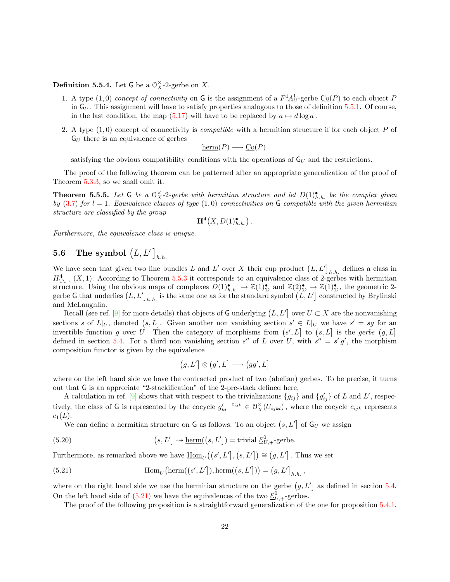# **Definition 5.5.4.** Let G be a  $\mathcal{O}_X^{\times}$ -2-gerbe on X.

- 1. A type  $(1,0)$  concept of connectivity on G is the assignment of a  $F^1 \underline{A}^1_U$ -gerbe  $\underline{Co}(P)$  to each object P in  $G_U$ . This assignment will have to satisfy properties analogous to those of definition [5.5.1](#page-21-1). Of course, in the last condition, the map [\(5.17\)](#page-19-3) will have to be replaced by  $a \mapsto d \log a$ .
- 2. A type  $(1,0)$  concept of connectivity is *compatible* with a hermitian structure if for each object P of  $G_U$  there is an equivalence of gerbes

$$
\underline{\mathrm{herm}}(P) \longrightarrow \underline{\mathrm{Co}}(P)
$$

satisfying the obvious compatibility conditions with the operations of  $G_U$  and the restrictions.

The proof of the following theorem can be patterned after an appropriate generalization of the proof of Theorem [5.3.3,](#page-19-1) so we shall omit it.

**Theorem 5.5.5.** Let G be a  $\mathbb{O}_X^{\times}$ -2-gerbe with hermitian structure and let  $D(1)_{h.h.}^{\bullet}$  be the complex given by ([3.7](#page-9-0)) for  $l = 1$ . Equivalence classes of type (1,0) connectivities on G compatible with the given hermitian structure are classified by the group

$$
\mathbf{H}^4\big(X,D(1)_{h.h.}^\bullet\big)\,.
$$

Furthermore, the equivalence class is unique.

# <span id="page-21-0"></span>**5.6** The symbol  $(L, L']_{h.h.}$

We have seen that given two line bundles L and L' over X their cup product  $(L, L']_{h,h}$  defines a class in  $H_{\mathcal{D}_{h,h}}^4(X,1)$ . According to Theorem [5.5.3](#page-19-1) it corresponds to an equivalence class of 2-gerbes with hermitian structure. Using the obvious maps of complexes  $D(1)_{h,h.}^{\bullet} \to \mathbb{Z}(1)_{\mathcal{D}}^{\bullet}$  and  $\mathbb{Z}(2)_{\mathcal{D}}^{\bullet} \to \mathbb{Z}(1)_{\mathcal{D}}^{\bullet}$ , the geometric 2gerbe G that underlies  $(L, L']_{h,h}$  is the same one as for the standard symbol  $(L, L']$  constructed by Brylinski and McLaughlin.

Recall(see ref. [[9\]](#page-26-3) for more details) that objects of G underlying  $(L, L')$  over  $U \subset X$  are the nonvanishing sections s of  $L|_U$ , denoted  $(s, L]$ . Given another non vanishing section  $s' \in L|_U$  we have  $s' = sg$  for an invertible function g over U. Then the category of morphisms from  $(s', L]$  to  $(s, L]$  is the gerbe  $(g, L]$ defined in section [5.4.](#page-17-0) For a third non vanishing section s'' of L over U, with  $s'' = s' g'$ , the morphism composition functor is given by the equivalence

<span id="page-21-3"></span><span id="page-21-2"></span>
$$
(g, L'] \otimes (g', L] \longrightarrow (gg', L]
$$

where on the left hand side we have the contracted product of two (abelian) gerbes. To be precise, it turns out that G is an approriate "2-stackification" of the 2-pre-stack defined here.

Acalculation in ref. [[9\]](#page-26-3) shows that with respect to the trivializations  $\{g_{ij}\}\$ and  $\{g'_{ij}\}\$  of L and L', respectively, the class of G is represented by the cocycle  $g'_{kl}^{-c_{ijk}} \in \mathcal{O}_X^{\times}(U_{ijkl})$ , where the cocycle  $c_{ijk}$  represents  $c_1(L)$ .

We can define a hermitian structure on G as follows. To an object  $(s, L')$  of  $G_U$  we assign

(5.20) 
$$
(s, L') \rightsquigarrow \underline{\text{herm}}((s, L']) = \text{trivial } \underline{\mathcal{E}}_{U,+}^0 \text{-gerbe.}
$$

Furthermore, as remarked above we have  $\underline{\text{Hom}}_U((s', L'], (s, L']) \cong (g, L']$ . Thus we set

(5.21) 
$$
\underline{\text{Hom}}_U(\underline{\text{herm}}((s', L')), \underline{\text{herm}}((s, L'))) = (g, L']_{h.h.},
$$

where on the right hand side we use the hermitian structure on the gerbe  $(g, L')$  as defined in section [5.4](#page-17-0). On the left hand side of [\(5.21\)](#page-21-2) we have the equivalences of the two  $\underline{\mathcal{E}}_{U,+}^0$ -gerbes.

<span id="page-21-1"></span>The proof of the following proposition is a straightforward generalization of the one for proposition [5.4.1](#page-21-1).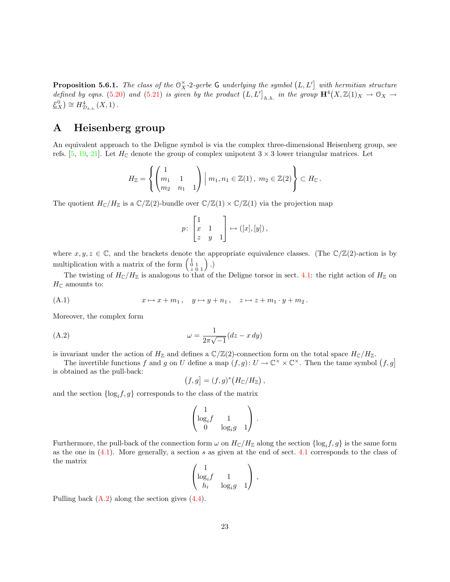**Proposition 5.6.1.** The class of the  $\mathbb{O}_X^{\times}$ -2-gerbe G underlying the symbol  $(L, L')$  with hermitian structure defined by eqns. [\(5.20\)](#page-21-3) and ([5.21](#page-21-2)) is given by the product  $(L, L']_{h.h.}$  in the group  $\mathbf{H}^4(X, \mathbb{Z}(1)_X \to \mathbb{O}_X \to$  $\underline{\mathcal{E}}_X^0$   $\cong H_{\mathcal{D}_{h,h.}}^4(X,1)$ .

# <span id="page-22-0"></span>A Heisenberg group

An equivalent approach to the Deligne symbol is via the complex three-dimensional Heisenberg group, see refs. [\[5](#page-26-15), [19](#page-26-5), [21](#page-26-16)]. Let  $H_{\mathbb{C}}$  denote the group of complex unipotent  $3 \times 3$  lower triangular matrices. Let

$$
H_{\mathbb{Z}} = \left\{ \begin{pmatrix} 1 & 1 \\ m_1 & 1 \\ m_2 & n_1 & 1 \end{pmatrix} \middle| m_1, n_1 \in \mathbb{Z}(1), m_2 \in \mathbb{Z}(2) \right\} \subset H_{\mathbb{C}}.
$$

The quotient  $H_{\mathbb{C}}/H_{\mathbb{Z}}$  is a  $\mathbb{C}/\mathbb{Z}(2)$ -bundle over  $\mathbb{C}/\mathbb{Z}(1) \times \mathbb{C}/\mathbb{Z}(1)$  via the projection map

$$
p\colon\begin{bmatrix}1\\x&1\\z&y&1\end{bmatrix}\mapsto ([x],[y])\,,
$$

where  $x, y, z \in \mathbb{C}$ , and the brackets denote the appropriate equivalence classes. (The  $\mathbb{C}/\mathbb{Z}(2)$ -action is by multiplication with a matrix of the form  $\begin{pmatrix} 1 & 0 \\ 0 & 1 \end{pmatrix}$ .)

<span id="page-22-1"></span>The twisting of  $H_{\mathbb{C}}/H_{\mathbb{Z}}$  is analogous to that of the Deligne torsor in sect. [4.1:](#page-10-2) the right action of  $H_{\mathbb{Z}}$  on  $H_{\mathbb{C}}$  amounts to:

(A.1) 
$$
x \mapsto x + m_1, \quad y \mapsto y + n_1, \quad z \mapsto z + m_1 \cdot y + m_2.
$$

Moreover, the complex form

(A.2) 
$$
\omega = \frac{1}{2\pi\sqrt{-1}}(dz - x\,dy)
$$

is invariant under the action of  $H_{\mathbb{Z}}$  and defines a  $\mathbb{C}/\mathbb{Z}(2)$ -connection form on the total space  $H_{\mathbb{C}}/H_{\mathbb{Z}}$ .

The invertible functions f and g on U define a map  $(f, g): U \to \mathbb{C}^\times \times \mathbb{C}^\times$ . Then the tame symbol  $(f, g]$ is obtained as the pull-back:

<span id="page-22-2"></span>
$$
(f,g] = (f,g)^* (H_{\mathbb{C}}/H_{\mathbb{Z}}),
$$

and the section  $\{\log_i f, g\}$  corresponds to the class of the matrix

$$
\begin{pmatrix} 1 & & \\ \log_i f & 1 & \\ 0 & \log_i g & 1 \end{pmatrix}.
$$

Furthermore, the pull-back of the connection form  $\omega$  on  $H_{\mathbb{C}}/H_{\mathbb{Z}}$  along the section  $\{\log_i f, g\}$  is the same form as the one in([4.1](#page-10-3)). More generally, a section s as given at the end of sect. [4.1](#page-10-2) corresponds to the class of the matrix

$$
\begin{pmatrix} 1 & & \\ \log_i f & 1 & \\ h_i & \log_i g & 1 \end{pmatrix},
$$

Pulling back([A.2\)](#page-22-2) along the section gives [\(4.4\)](#page-11-4).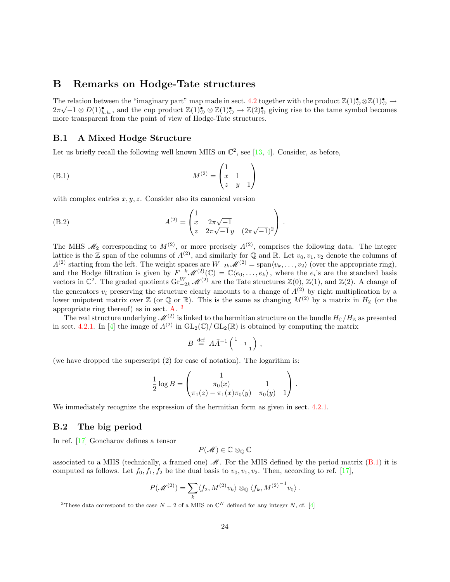# <span id="page-23-0"></span>B Remarks on Hodge-Tate structures

The relation between the "imaginary part" map made in sect. [4.2](#page-11-0) together with the product  $\mathbb{Z}(1)_\mathcal{D}^{\bullet} \otimes \mathbb{Z}(1)_\mathcal{D}^{\bullet} \to$  $2\pi\sqrt{-1}\otimes D(1)$ <sub>h.h.</sub>, and the cup product  $\mathbb{Z}(1)_{\mathcal{D}}^{\bullet}\otimes \mathbb{Z}(1)_{\mathcal{D}}^{\bullet}\to \mathbb{Z}(2)_{\mathcal{D}}^{\bullet}$  giving rise to the tame symbol becomes more transparent from the point of view of Hodge-Tate structures.

# <span id="page-23-1"></span>B.1 A Mixed Hodge Structure

Letus briefly recall the following well known MHS on  $\mathbb{C}^2$ , see [[13,](#page-26-4) [4\]](#page-26-17). Consider, as before,

(B.1) 
$$
M^{(2)} = \begin{pmatrix} 1 & 1 \\ x & 1 \\ z & y & 1 \end{pmatrix}
$$

with complex entries  $x, y, z$ . Consider also its canonical version

(B.2) 
$$
A^{(2)} = \begin{pmatrix} 1 & 2\pi\sqrt{-1} \\ x & 2\pi\sqrt{-1}y & (2\pi\sqrt{-1})^2 \end{pmatrix}.
$$

The MHS  $\mathcal{M}_2$  corresponding to  $M^{(2)}$ , or more precisely  $A^{(2)}$ , comprises the following data. The integer lattice is the  $\mathbb Z$  span of the columns of  $A^{(2)}$ , and similarly for  $\mathbb Q$  and  $\mathbb R$ . Let  $v_0, v_1, v_2$  denote the columns of  $A^{(2)}$  starting from the left. The weight spaces are  $W_{-2k}M^{(2)} = \text{span}\langle v_k, \ldots, v_2 \rangle$  (over the appropriate ring), and the Hodge filtration is given by  $F^{-k}\mathscr{M}^{(2)}(\mathbb{C})=\mathbb{C}\langle e_0,\ldots,e_k\rangle$ , where the  $e_i$ 's are the standard basis vectors in  $\mathbb{C}^2$ . The graded quotients  $\text{Gr}_{-2k}^W(\mathcal{U})$  are the Tate structures  $\mathbb{Z}(0)$ ,  $\mathbb{Z}(1)$ , and  $\mathbb{Z}(2)$ . A change of the generators  $v_i$  preserving the structure clearly amounts to a change of  $A^{(2)}$  by right multiplication by a lower unipotent matrix over  $\mathbb Z$  (or  $\mathbb Q$  or  $\mathbb R$ ). This is the same as changing  $M^{(2)}$  by a matrix in  $H_{\mathbb Z}$  (or the appropriate ring thereof) as in sect. [A](#page-22-0).  $3$ 

The real structure underlying  $\mathcal{M}^{(2)}$  is linked to the hermitian structure on the bundle  $H_{\mathbb{C}}/H_{\mathbb{Z}}$  as presented in sect. [4.2.1.](#page-12-6) In [\[4](#page-26-17)] the image of  $A^{(2)}$  in  $GL_2(\mathbb{C})/ GL_2(\mathbb{R})$  is obtained by computing the matrix

<span id="page-23-4"></span>
$$
B \stackrel{\text{def}}{=} A\bar{A}^{-1} \left( \begin{smallmatrix} 1 & & \\ & -1 & \\ & & 1 \end{smallmatrix} \right),
$$

(we have dropped the superscript (2) for ease of notation). The logarithm is:

$$
\frac{1}{2}\log B = \begin{pmatrix} 1 & 1 \\ \pi_0(x) & 1 \\ \pi_1(z) - \pi_1(x)\pi_0(y) & \pi_0(y) & 1 \end{pmatrix}.
$$

We immediately recognize the expression of the hermitian form as given in sect. [4.2.1.](#page-12-6)

## <span id="page-23-2"></span>B.2 The big period

In ref.[[17\]](#page-26-8) Goncharov defines a tensor

$$
P(\mathscr{M}) \in \mathbb{C} \otimes_{\mathbb{Q}} \mathbb{C}
$$

associatedto a MHS (technically, a framed one)  $\mathcal M$ . For the MHS defined by the period matrix ([B.1\)](#page-23-4) it is computed as follows. Let  $f_0, f_1, f_2$  be the dual basis to  $v_0, v_1, v_2$ . Then, according to ref. [\[17](#page-26-8)],

$$
P(\mathscr{M}^{(2)}) = \sum_{k} \langle f_2, M^{(2)} v_k \rangle \otimes_{\mathbb{Q}} \langle f_k, M^{(2)}^{-1} v_0 \rangle.
$$

<span id="page-23-3"></span><sup>&</sup>lt;sup>3</sup>These data correspond to the case  $N = 2$  of a MHS on  $\mathbb{C}^N$  defined for any integer N, cf. [\[4](#page-26-17)]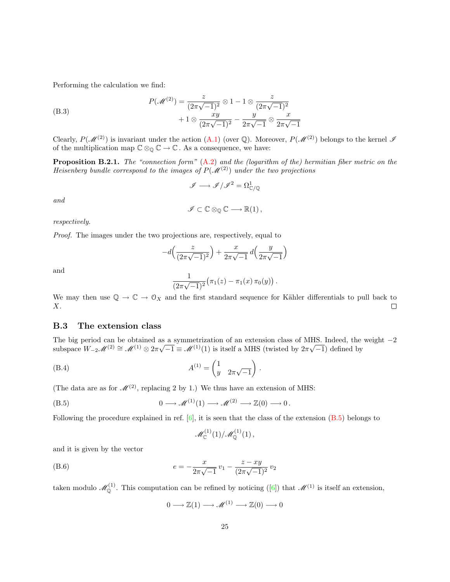Performing the calculation we find:

(B.3)  
\n
$$
P(\mathcal{M}^{(2)}) = \frac{z}{(2\pi\sqrt{-1})^2} \otimes 1 - 1 \otimes \frac{z}{(2\pi\sqrt{-1})^2} + 1 \otimes \frac{xy}{(2\pi\sqrt{-1})^2} - \frac{y}{2\pi\sqrt{-1}} \otimes \frac{x}{2\pi\sqrt{-1}}
$$

Clearly,  $P(\mathcal{M}^{(2)})$  is invariant under the action  $(A.1)$  (over Q). Moreover,  $P(\mathcal{M}^{(2)})$  belongs to the kernel  $\mathcal I$ of the multiplication map  $\mathbb{C} \otimes_{\mathbb{Q}} \mathbb{C} \to \mathbb{C}$ . As a consequence, we have:

**Proposition B.2.1.** The "connection form"  $(A.2)$  $(A.2)$  and the *(logarithm of the) hermitian fiber metric on the* Heisenberg bundle correspond to the images of  $P(\mathcal{M}^{(2)})$  under the two projections

$$
\mathscr{I}\longrightarrow \mathscr{I}/\mathscr{I}^2=\Omega^1_{\mathbb{C}/\mathbb{Q}}
$$

and

$$
\mathscr{I} \subset \mathbb{C} \otimes_{\mathbb{Q}} \mathbb{C} \longrightarrow \mathbb{R}(1) \,,
$$

respectively.

Proof. The images under the two projections are, respectively, equal to

$$
-d\left(\frac{z}{(2\pi\sqrt{-1})^2}\right) + \frac{x}{2\pi\sqrt{-1}}d\left(\frac{y}{2\pi\sqrt{-1}}\right)
$$

and

$$
\frac{1}{(2\pi\sqrt{-1})^2} (\pi_1(z) - \pi_1(x) \pi_0(y)).
$$

We may then use  $\mathbb{Q} \to \mathbb{C} \to \mathbb{O}_X$  and the first standard sequence for Kähler differentials to pull back to X.  $\Box$ 

## <span id="page-24-0"></span>B.3 The extension class

The big period can be obtained as a symmetrization of an extension class of MHS. Indeed, the weight  $-2$ subspace  $W_{-2}M^{(2)} \cong M^{(1)} \otimes 2\pi\sqrt{-1} \equiv M^{(1)}(1)$  is itself a MHS (twisted by  $2\pi\sqrt{-1}$ ) defined by

(B.4) 
$$
A^{(1)} = \begin{pmatrix} 1 \\ y & 2\pi\sqrt{-1} \end{pmatrix}.
$$

(The data are as for  $\mathcal{M}^{(2)}$ , replacing 2 by 1.) We thus have an extension of MHS:

$$
(B.5) \t 0 \longrightarrow \mathscr{M}^{(1)}(1) \longrightarrow \mathscr{M}^{(2)} \longrightarrow \mathbb{Z}(0) \longrightarrow 0.
$$

Followingthe procedure explained in ref.  $[6]$  $[6]$ , it is seen that the class of the extension  $(B.5)$  $(B.5)$  $(B.5)$  belongs to

<span id="page-24-2"></span><span id="page-24-1"></span>
$$
{\mathscr{M}}_{\mathbb{C}}^{(1)}(1)/{\mathscr{M}}_{\mathbb{Q}}^{(1)}(1)\,,
$$

and it is given by the vector

(B.6) 
$$
e = -\frac{x}{2\pi\sqrt{-1}}v_1 - \frac{z - xy}{(2\pi\sqrt{-1})^2}v_2
$$

taken modulo  $\mathscr{M}_{\mathbb{Q}}^{(1)}$ . This computation can be refined by noticing ([\[6](#page-26-18)]) that  $\mathscr{M}^{(1)}$  is itself an extension,

$$
0 \longrightarrow \mathbb{Z}(1) \longrightarrow \mathscr{M}^{(1)} \longrightarrow \mathbb{Z}(0) \longrightarrow 0
$$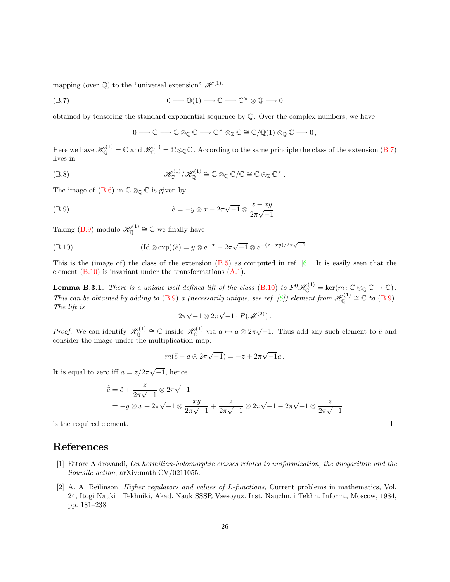mapping (over  $\mathbb{Q}$ ) to the "universal extension"  $\mathcal{H}^{(1)}$ :

(B.7) 
$$
0 \longrightarrow \mathbb{Q}(1) \longrightarrow \mathbb{C} \longrightarrow \mathbb{C}^{\times} \otimes \mathbb{Q} \longrightarrow 0
$$

obtained by tensoring the standard exponential sequence by  $\mathbb{Q}$ . Over the complex numbers, we have

<span id="page-25-3"></span><span id="page-25-2"></span>
$$
0\longrightarrow \mathbb{C}\longrightarrow \mathbb{C}\otimes_{\mathbb{Q}}\mathbb{C}\longrightarrow \mathbb{C}^{\times}\otimes_{\mathbb{Z}}\mathbb{C}\cong \mathbb{C}/\mathbb{Q}(1)\otimes_{\mathbb{Q}}\mathbb{C}\longrightarrow 0\,,
$$

Here we have  $\mathscr{H}_{\mathbb{Q}}^{(1)}=\mathbb{C}$  and  $\mathscr{H}_{\mathbb{C}}^{(1)}=\mathbb{C}\otimes_{\mathbb{Q}}\mathbb{C}$ . According to the same principle the class of the extension [\(B.7](#page-25-2)) lives in

(B.8) 
$$
\mathscr{H}^{(1)}_{{\mathbb{C}}}/\mathscr{H}^{(1)}_{{\mathbb{Q}}}\cong {\mathbb{C}}\otimes_{{\mathbb{Q}}}{\mathbb{C}}/{\mathbb{C}}\cong {\mathbb{C}}\otimes_{{\mathbb{Z}}}{\mathbb{C}}^{\times}.
$$

The image of  $(B.6)$  in  $\mathbb{C} \otimes_{\mathbb{Q}} \mathbb{C}$  is given by

(B.9) 
$$
\tilde{e} = -y \otimes x - 2\pi \sqrt{-1} \otimes \frac{z - xy}{2\pi \sqrt{-1}}.
$$

Taking [\(B.9](#page-25-3)) modulo  $\mathscr{H}_{\mathbb{Q}}^{(1)} \cong \mathbb{C}$  we finally have

(B.10) 
$$
(\text{Id}\otimes \exp)(\tilde{e})=y\otimes e^{-x}+2\pi\sqrt{-1}\otimes e^{-(z-xy)/2\pi\sqrt{-1}}.
$$

Thisis the (image of) the class of the extension  $(B.5)$  as computed in ref.  $[6]$  $[6]$ . It is easily seen that the element([B.10](#page-25-4)) is invariant under the transformations([A.1\)](#page-22-1).

**Lemma B.3.1.** There is a unique well defined lift of the class [\(B.10](#page-25-4)) to  $F^0\mathscr{H}_{\mathbb{C}}^{(1)} = \text{ker}(m: \mathbb{C} \otimes_{\mathbb{Q}} \mathbb{C} \to \mathbb{C})$ . This can be obtained by adding to [\(B.9](#page-25-3))a (necessarily unique, see ref. [[6\]](#page-26-18)) element from  $\mathscr{H}_{\mathbb{Q}}^{(1)} \cong \mathbb{C}$  to (B.9). The lift is

<span id="page-25-4"></span>
$$
2\pi\sqrt{-1}\otimes 2\pi\sqrt{-1}\cdot P(\mathscr{M}^{(2)})\,.
$$

*Proof.* We can identify  $\mathscr{H}_{\mathbb{Q}}^{(1)} \cong \mathbb{C}$  inside  $\mathscr{H}_{\mathbb{C}}^{(1)}$  via  $a \mapsto a \otimes 2\pi\sqrt{-1}$ . Thus add any such element to  $\tilde{e}$  and consider the image under the multiplication map:

$$
m(\tilde{e} + a \otimes 2\pi \sqrt{-1}) = -z + 2\pi \sqrt{-1}a.
$$

It is equal to zero iff  $a = z/2\pi$  $\sqrt{-1}$ , hence

$$
\tilde{e} = \tilde{e} + \frac{z}{2\pi\sqrt{-1}} \otimes 2\pi\sqrt{-1}
$$
  
=  $-y \otimes x + 2\pi\sqrt{-1} \otimes \frac{xy}{2\pi\sqrt{-1}} + \frac{z}{2\pi\sqrt{-1}} \otimes 2\pi\sqrt{-1} - 2\pi\sqrt{-1} \otimes \frac{z}{2\pi\sqrt{-1}}$ 

is the required element.

# References

- <span id="page-25-0"></span>[1] Ettore Aldrovandi, On hermitian-holomorphic classes related to uniformization, the dilogarithm and the liouville action, arXiv:math.CV/0211055.
- <span id="page-25-1"></span>[2] A. A. Beĭlinson, *Higher regulators and values of L-functions*, Current problems in mathematics, Vol. 24, Itogi Nauki i Tekhniki, Akad. Nauk SSSR Vsesoyuz. Inst. Nauchn. i Tekhn. Inform., Moscow, 1984, pp. 181–238.